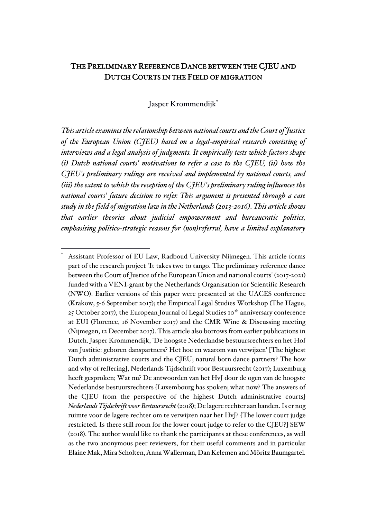# THE PRELIMINARY REFERENCE DANCE BETWEEN THE CJEU AND DUTCH COURTS IN THE FIELD OF MIGRATION

Jasper Krommendijk\*

*This article examines the relationship between national courts and the Court of Justice of the European Union (CJEU) based on a legal-empirical research consisting of interviews and a legal analysis of judgments. It empirically tests which factors shape (i) Dutch national courts' motivations to refer a case to the CJEU, (ii) how the CJEU's preliminary rulings are received and implemented by national courts, and (iii) the extent to which the reception of the CJEU's preliminary ruling influences the national courts' future decision to refer. This argument is presented through a case study in the field of migration law in the Netherlands (2013-2016). This article shows that earlier theories about judicial empowerment and bureaucratic politics, emphasising politico-strategic reasons for (non)referral, have a limited explanatory* 

Assistant Professor of EU Law, Radboud University Nijmegen. This article forms part of the research project 'It takes two to tango. The preliminary reference dance between the Court of Justice of the European Union and national courts' (2017-2021) funded with a VENI-grant by the Netherlands Organisation for Scientific Research (NWO). Earlier versions of this paper were presented at the UACES conference (Krakow, 5-6 September 2017); the Empirical Legal Studies Workshop (The Hague,  $25$  October 2017), the European Journal of Legal Studies 10<sup>th</sup> anniversary conference at EUI (Florence, 16 November 2017) and the CMR Wine & Discussing meeting (Nijmegen, 12 December 2017). This article also borrows from earlier publications in Dutch. Jasper Krommendijk, 'De hoogste Nederlandse bestuursrechters en het Hof van Justitie: geboren danspartners? Het hoe en waarom van verwijzen' [The highest Dutch administrative courts and the CJEU; natural born dance partners? The how and why of reffering], Nederlands Tijdschrift voor Bestuursrecht (2017); Luxemburg heeft gesproken; Wat nu? De antwoorden van het HvJ door de ogen van de hoogste Nederlandse bestuursrechters [Luxembourg has spoken; what now? The answers of the CJEU from the perspective of the highest Dutch administrative courts] *Nederlands Tijdschrift voor Bestuursrecht* (2018); De lagere rechter aan banden. Is er nog ruimte voor de lagere rechter om te verwijzen naar het HvJ? [The lower court judge restricted. Is there still room for the lower court judge to refer to the CJEU?] SEW (2018). The author would like to thank the participants at these conferences, as well as the two anonymous peer reviewers, for their useful comments and in particular Elaine Mak, Mira Scholten, Anna Wallerman, Dan Kelemen and Möritz Baumgartel.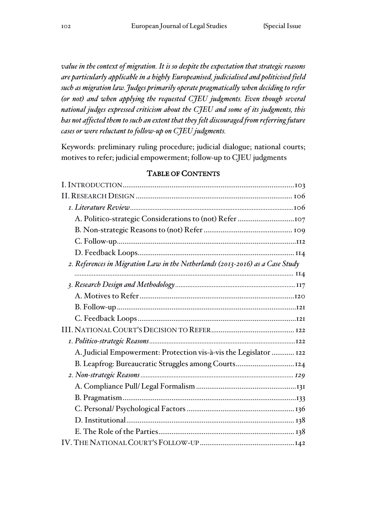*value in the context of migration. It is so despite the expectation that strategic reasons are particularly applicable in a highly Europeanised, judicialised and politicised field such as migration law. Judges primarily operate pragmatically when deciding to refer (or not) and when applying the requested CJEU judgments. Even though several national judges expressed criticism about the CJEU and some of its judgments, this has not affected them to such an extent that they felt discouraged from referring future cases or were reluctant to follow-up on CJEU judgments.*

Keywords: preliminary ruling procedure; judicial dialogue; national courts; motives to refer; judicial empowerment; follow-up to CJEU judgments

#### TABLE OF CONTENTS

| 2. References in Migration Law in the Netherlands (2013-2016) as a Case Study |  |
|-------------------------------------------------------------------------------|--|
|                                                                               |  |
|                                                                               |  |
|                                                                               |  |
|                                                                               |  |
|                                                                               |  |
|                                                                               |  |
|                                                                               |  |
| A. Judicial Empowerment: Protection vis-à-vis the Legislator  122             |  |
| B. Leapfrog: Bureaucratic Struggles among Courts124                           |  |
|                                                                               |  |
|                                                                               |  |
|                                                                               |  |
|                                                                               |  |
|                                                                               |  |
|                                                                               |  |
|                                                                               |  |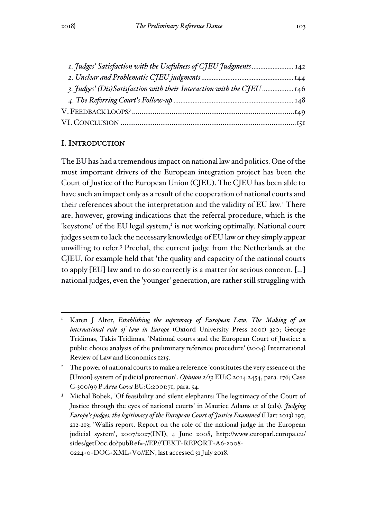| I. Judges' Satisfaction with the Usefulness of CJEU Judgments 142       |  |
|-------------------------------------------------------------------------|--|
|                                                                         |  |
| 3. Judges' (Dis) Satisfaction with their Interaction with the CJEU  146 |  |
|                                                                         |  |
|                                                                         |  |
|                                                                         |  |

# I. INTRODUCTION

The EU has had a tremendous impact on national law and politics. One of the most important drivers of the European integration project has been the Court of Justice of the European Union (CJEU). The CJEU has been able to have such an impact only as a result of the cooperation of national courts and their references about the interpretation and the validity of EU law.<sup>1</sup> There are, however, growing indications that the referral procedure, which is the 'keystone' of the EU legal system,<sup>2</sup> is not working optimally. National court judges seem to lack the necessary knowledge of EU law or they simply appear unwilling to refer.<sup>3</sup> Prechal, the current judge from the Netherlands at the CJEU, for example held that 'the quality and capacity of the national courts to apply [EU] law and to do so correctly is a matter for serious concern. [...] national judges, even the 'younger' generation, are rather still struggling with

 $\overline{a}$ <sup>1</sup> Karen J Alter, *Establishing the supremacy of European Law. The Making of an international rule of law in Europe* (Oxford University Press 2001) 320; George Tridimas, Takis Tridimas, 'National courts and the European Court of Justice: a public choice analysis of the preliminary reference procedure' (2004) International Review of Law and Economics 1215.

<sup>2</sup> The power of national courts to make a reference 'constitutes the very essence of the [Union] system of judicial protection'. *Opinion 2/13* EU:C:2014:2454, para. 176; Case C-300/99 P *Area Cova* EU:C:2001:71, para. 54.

<sup>3</sup> Michal Bobek, 'Of feasibility and silent elephants: The legitimacy of the Court of Justice through the eyes of national courts' in Maurice Adams et al (eds), *Judging Europe's judges: the legitimacy of the European Court of Justice Examined* (Hart 2013) 197, 212-213; 'Wallis report. Report on the role of the national judge in the European judicial system', 2007/2027(INI), 4 June 2008, http://www.europarl.europa.eu/ sides/getDoc.do?pubRef=-//EP//TEXT+REPORT+A6-2008- 0224+0+DOC+XML+V0//EN, last accessed 31 July 2018.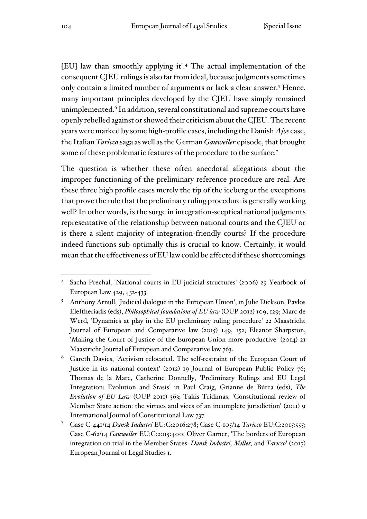[EU] law than smoothly applying it'.<sup>4</sup> The actual implementation of the consequent CJEU rulings is also far from ideal, because judgments sometimes only contain a limited number of arguments or lack a clear answer.<sup>5</sup> Hence, many important principles developed by the CJEU have simply remained unimplemented. 6 In addition, several constitutional and supreme courts have openly rebelled against or showed their criticism about the CJEU. The recent years were marked by some high-profile cases, including the Danish *Ajos* case, the Italian *Taricco* saga as well as the German *Gauweiler* episode, that brought some of these problematic features of the procedure to the surface.<sup>7</sup>

The question is whether these often anecdotal allegations about the improper functioning of the preliminary reference procedure are real. Are these three high profile cases merely the tip of the iceberg or the exceptions that prove the rule that the preliminary ruling procedure is generally working well? In other words, is the surge in integration-sceptical national judgments representative of the relationship between national courts and the CJEU or is there a silent majority of integration-friendly courts? If the procedure indeed functions sub-optimally this is crucial to know. Certainly, it would mean that the effectiveness of EU law could be affected if these shortcomings

<sup>4</sup> Sacha Prechal, 'National courts in EU judicial structures' (2006) 25 Yearbook of European Law 429, 432-433.

<sup>5</sup> Anthony Arnull, 'Judicial dialogue in the European Union', in Julie Dickson, Pavlos Eleftheriadis (eds), *Philosophical foundations of EU law* (OUP 2012) 109, 129; Marc de Werd, 'Dynamics at play in the EU preliminary ruling procedure' 22 Maastricht Journal of European and Comparative law (2015) 149, 152; Eleanor Sharpston, 'Making the Court of Justice of the European Union more productive' (2014) 21 Maastricht Journal of European and Comparative law 763.

<sup>6</sup> Gareth Davies, 'Activism relocated. The self-restraint of the European Court of Justice in its national context' (2012) 19 Journal of European Public Policy 76; Thomas de la Mare, Catherine Donnelly, 'Preliminary Rulings and EU Legal Integration: Evolution and Stasis' in Paul Craig, Grianne de Búrca (eds), *The Evolution of EU Law* (OUP 2011) 363; Takis Tridimas, 'Constitutional review of Member State action: the virtues and vices of an incomplete jurisdiction' (2011) 9 International Journal of Constitutional Law 737.

<sup>7</sup> Case C-441/14 *Dansk Industri* EU:C:2016:278; Case C-105/14 *Taricco* EU:C:2015:555; Case C-62/14 *Gauweiler* EU:C:2015:400; Oliver Garner, 'The borders of European integration on trial in the Member States: *Dansk Industri, Miller,* and *Taricco*' (2017) European Journal of Legal Studies 1.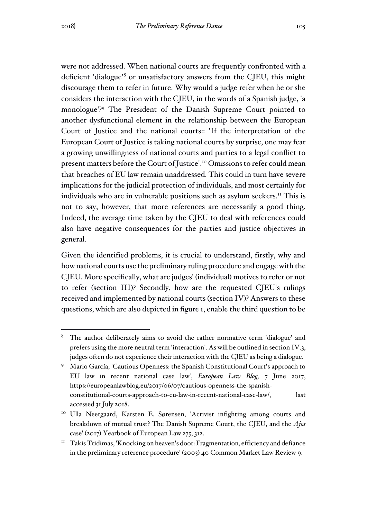$\overline{a}$ 

were not addressed. When national courts are frequently confronted with a deficient 'dialogue'<sup>8</sup> or unsatisfactory answers from the CJEU, this might discourage them to refer in future. Why would a judge refer when he or she considers the interaction with the CJEU, in the words of a Spanish judge, 'a monologue'?<sup>9</sup> The President of the Danish Supreme Court pointed to another dysfunctional element in the relationship between the European Court of Justice and the national courts:: 'If the interpretation of the European Court of Justice is taking national courts by surprise, one may fear a growing unwillingness of national courts and parties to a legal conflict to present matters before the Court of Justice'.<sup>10</sup> Omissions to refer could mean that breaches of EU law remain unaddressed. This could in turn have severe implications for the judicial protection of individuals, and most certainly for individuals who are in vulnerable positions such as asylum seekers.<sup>11</sup> This is not to say, however, that more references are necessarily a good thing. Indeed, the average time taken by the CJEU to deal with references could also have negative consequences for the parties and justice objectives in general.

Given the identified problems, it is crucial to understand, firstly, why and how national courts use the preliminary ruling procedure and engage with the CJEU. More specifically, what are judges' (individual) motives to refer or not to refer (section III)? Secondly, how are the requested CJEU's rulings received and implemented by national courts (section IV)? Answers to these questions, which are also depicted in figure 1, enable the third question to be

<sup>8</sup> The author deliberately aims to avoid the rather normative term 'dialogue' and prefers using the more neutral term 'interaction'. As will be outlined in section IV.3, judges often do not experience their interaction with the CJEU as being a dialogue.

Mario García, 'Cautious Openness: the Spanish Constitutional Court's approach to EU law in recent national case law', *European Law Blog,* 7 June 2017, https://europeanlawblog.eu/2017/06/07/cautious-openness-the-spanishconstitutional-courts-approach-to-eu-law-in-recent-national-case-law/, last accessed 31 July 2018.

<sup>10</sup> Ulla Neergaard, Karsten E. Sørensen, 'Activist infighting among courts and breakdown of mutual trust? The Danish Supreme Court, the CJEU, and the *Ajos*  case' (2017) Yearbook of European Law 275, 312.

 $11$  Takis Tridimas, 'Knocking on heaven's door: Fragmentation, efficiency and defiance in the preliminary reference procedure' (2003) 40 Common Market Law Review 9.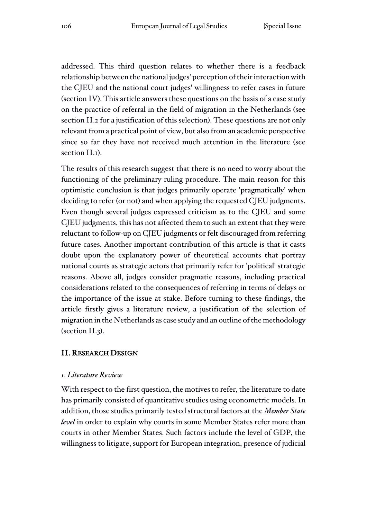addressed. This third question relates to whether there is a feedback relationship between the national judges' perception of their interaction with the CJEU and the national court judges' willingness to refer cases in future (section IV). This article answers these questions on the basis of a case study on the practice of referral in the field of migration in the Netherlands (see section II.2 for a justification of this selection). These questions are not only relevant from a practical point of view, but also from an academic perspective since so far they have not received much attention in the literature (see section II.<sub>1</sub>).

The results of this research suggest that there is no need to worry about the functioning of the preliminary ruling procedure. The main reason for this optimistic conclusion is that judges primarily operate 'pragmatically' when deciding to refer (or not) and when applying the requested CJEU judgments. Even though several judges expressed criticism as to the CJEU and some CJEU judgments, this has not affected them to such an extent that they were reluctant to follow-up on CJEU judgments or felt discouraged from referring future cases. Another important contribution of this article is that it casts doubt upon the explanatory power of theoretical accounts that portray national courts as strategic actors that primarily refer for 'political' strategic reasons. Above all, judges consider pragmatic reasons, including practical considerations related to the consequences of referring in terms of delays or the importance of the issue at stake. Before turning to these findings, the article firstly gives a literature review, a justification of the selection of migration in the Netherlands as case study and an outline of the methodology (section II.3).

## II. RESEARCH DESIGN

#### *1. Literature Review*

With respect to the first question, the motives to refer, the literature to date has primarily consisted of quantitative studies using econometric models. In addition, those studies primarily tested structural factors at the *Member State level* in order to explain why courts in some Member States refer more than courts in other Member States. Such factors include the level of GDP, the willingness to litigate, support for European integration, presence of judicial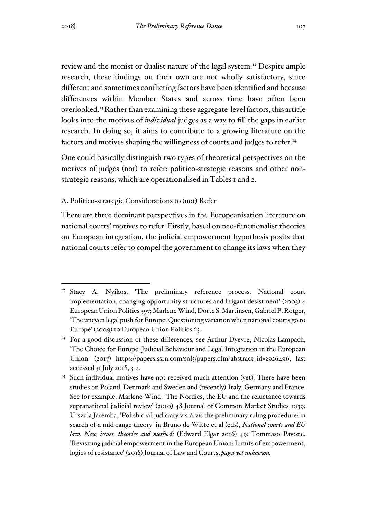$\overline{a}$ 

review and the monist or dualist nature of the legal system.<sup>12</sup> Despite ample research, these findings on their own are not wholly satisfactory, since different and sometimes conflicting factors have been identified and because differences within Member States and across time have often been overlooked.<sup>13</sup> Rather than examining these aggregate-level factors, this article looks into the motives of *individual* judges as a way to fill the gaps in earlier research. In doing so, it aims to contribute to a growing literature on the factors and motives shaping the willingness of courts and judges to refer.<sup>14</sup>

One could basically distinguish two types of theoretical perspectives on the motives of judges (not) to refer: politico-strategic reasons and other nonstrategic reasons, which are operationalised in Tables 1 and 2.

## A. Politico-strategic Considerations to (not) Refer

There are three dominant perspectives in the Europeanisation literature on national courts' motives to refer. Firstly, based on neo-functionalist theories on European integration, the judicial empowerment hypothesis posits that national courts refer to compel the government to change its laws when they

<sup>&</sup>lt;sup>12</sup> Stacy A. Nyikos, 'The preliminary reference process. National court implementation, changing opportunity structures and litigant desistment' (2003) 4 European Union Politics 397; Marlene Wind, Dorte S. Martinsen, Gabriel P. Rotger, 'The uneven legal push for Europe: Questioning variation when national courts go to Europe' (2009) 10 European Union Politics 63.

<sup>&</sup>lt;sup>13</sup> For a good discussion of these differences, see Arthur Dyevre, Nicolas Lampach, 'The Choice for Europe: Judicial Behaviour and Legal Integration in the European Union' (2017) https://papers.ssrn.com/sol3/papers.cfm?abstract\_id=2926496, last accessed 31 July 2018, 3-4*.*

<sup>&</sup>lt;sup>14</sup> Such individual motives have not received much attention (yet). There have been studies on Poland, Denmark and Sweden and (recently) Italy, Germany and France. See for example, Marlene Wind, 'The Nordics, the EU and the reluctance towards supranational judicial review' (2010) 48 Journal of Common Market Studies 1039; Urszula Jaremba, 'Polish civil judiciary vis-à-vis the preliminary ruling procedure: in search of a mid-range theory' in Bruno de Witte et al (eds), *National courts and EU law. New issues, theories and methods* (Edward Elgar 2016) 49; Tommaso Pavone, 'Revisiting judicial empowerment in the European Union: Limits of empowerment, logics of resistance' (2018) Journal of Law and Courts, *pages yet unknown.*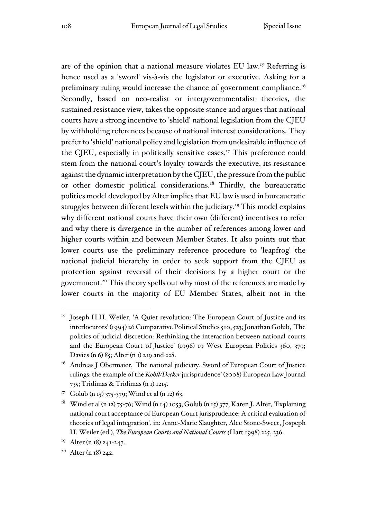are of the opinion that a national measure violates EU law.<sup>15</sup> Referring is hence used as a 'sword' vis-à-vis the legislator or executive. Asking for a preliminary ruling would increase the chance of government compliance.<sup>16</sup> Secondly, based on neo-realist or intergovernmentalist theories, the sustained resistance view, takes the opposite stance and argues that national courts have a strong incentive to 'shield' national legislation from the CJEU by withholding references because of national interest considerations. They prefer to 'shield' national policy and legislation from undesirable influence of the CJEU, especially in politically sensitive cases.<sup>17</sup> This preference could stem from the national court's loyalty towards the executive, its resistance against the dynamic interpretation by the CJEU, the pressure from the public or other domestic political considerations.<sup>18</sup> Thirdly, the bureaucratic politics model developed by Alter implies that EU law is used in bureaucratic struggles between different levels within the judiciary.<sup>19</sup> This model explains why different national courts have their own (different) incentives to refer and why there is divergence in the number of references among lower and higher courts within and between Member States. It also points out that lower courts use the preliminary reference procedure to 'leapfrog' the national judicial hierarchy in order to seek support from the CJEU as protection against reversal of their decisions by a higher court or the government.<sup>20</sup> This theory spells out why most of the references are made by lower courts in the majority of EU Member States, albeit not in the

<sup>&</sup>lt;sup>15</sup> Joseph H.H. Weiler, 'A Quiet revolution: The European Court of Justice and its interlocutors' (1994) 26 Comparative Political Studies 510, 523; Jonathan Golub, 'The politics of judicial discretion: Rethinking the interaction between national courts and the European Court of Justice' (1996) 19 West European Politics 360, 379; Davies (n 6) 85; Alter (n 1) 219 and 228.

<sup>&</sup>lt;sup>16</sup> Andreas J Obermaier, 'The national judiciary. Sword of European Court of Justice rulings: the example of the *Kohll/Decker*jurisprudence' (2008) European Law Journal 735; Tridimas & Tridimas (n 1) 1215.

*<sup>17</sup>* Golub (n 15) 375-379; Wind et al (n 12) 63.

<sup>&</sup>lt;sup>18</sup> Wind et al (n 12) 75-76; Wind (n 14) 1053; Golub (n 15) 377; Karen J. Alter, 'Explaining national court acceptance of European Court jurisprudence: A critical evaluation of theories of legal integration', in: Anne-Marie Slaughter, Alec Stone-Sweet, Jospeph H. Weiler (ed.), *The European Courts and National Courts (*Hart 1998) 225, 236.

<sup>&</sup>lt;sup>19</sup> Alter (n 18) 241-247.

<sup>20</sup> Alter (n 18) 242.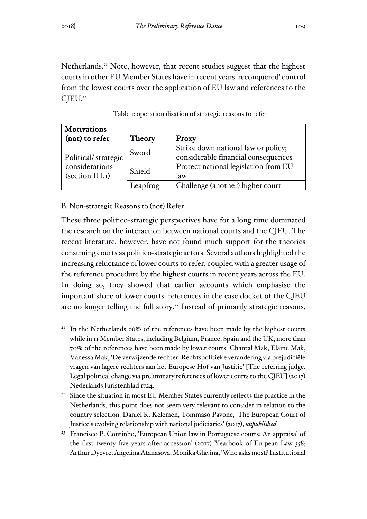$\overline{a}$ 

Netherlands.<sup>21</sup> Note, however, that recent studies suggest that the highest courts in other EU Member States have in recent years 'reconquered' control from the lowest courts over the application of EU law and references to the  $CJEU.<sup>22</sup>$ 

| <b>Motivations</b><br>(not) to refer                           | Theory   | Proxy                                                                      |
|----------------------------------------------------------------|----------|----------------------------------------------------------------------------|
| Political/strategic                                            | Sword    | Strike down national law or policy;<br>considerable financial consequences |
| considerations<br>$\left($ section III. <sub>I</sub> $\right)$ | Shield   | Protect national legislation from EU<br>law                                |
|                                                                | Leapfrog | Challenge (another) higher court                                           |

Table 1: operationalisation of strategic reasons to refer

# B. Non-strategic Reasons to (not) Refer

These three politico-strategic perspectives have for a long time dominated the research on the interaction between national courts and the CJEU. The recent literature, however, have not found much support for the theories construing courts as politico-strategic actors. Several authors highlighted the increasing reluctance of lower courts to refer, coupled with a greater usage of the reference procedure by the highest courts in recent years across the EU. In doing so, they showed that earlier accounts which emphasise the important share of lower courts' references in the case docket of the CJEU are no longer telling the full story.<sup>23</sup> Instead of primarily strategic reasons,

<sup>&</sup>lt;sup>21</sup> In the Netherlands 66% of the references have been made by the highest courts while in 11 Member States, including Belgium, France, Spain and the UK, more than 70% of the references have been made by lower courts. Chantal Mak, Elaine Mak, Vanessa Mak, 'De verwijzende rechter. Rechtspolitieke verandering via prejudiciële vragen van lagere rechters aan het Europese Hof van Justitie' [The referring judge. Legal political change via preliminary references of lower courts to the CJEU] (2017) Nederlands Juristenblad 1724.

<sup>&</sup>lt;sup>22</sup> Since the situation in most EU Member States currently reflects the practice in the Netherlands, this point does not seem very relevant to consider in relation to the country selection. Daniel R. Kelemen, Tommaso Pavone, 'The European Court of Justice's evolving relationship with national judiciaries' (2017), *unpublished*.

<sup>&</sup>lt;sup>23</sup> Francisco P. Coutinho, 'European Union law in Portuguese courts: An appraisal of the first twenty-five years after accession' (2017) Yearbook of Eurpean Law 358; Arthur Dyevre, Angelina Atanasova, Monika Glavina, 'Who asks most? Institutional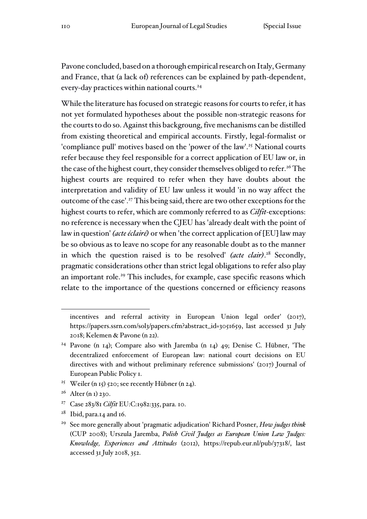Pavone concluded, based on a thorough empirical research on Italy, Germany and France, that (a lack of) references can be explained by path-dependent, every-day practices within national courts.<sup>24</sup>

While the literature has focused on strategic reasons for courts to refer, it has not yet formulated hypotheses about the possible non-strategic reasons for the courts to do so. Against this backgroung, five mechanisms can be distilled from existing theoretical and empirical accounts. Firstly, legal-formalist or 'compliance pull' motives based on the 'power of the law'.<sup>25</sup> National courts refer because they feel responsible for a correct application of EU law or, in the case of the highest court, they consider themselves obliged to refer.<sup>26</sup> The highest courts are required to refer when they have doubts about the interpretation and validity of EU law unless it would 'in no way affect the outcome of the case'.<sup>27</sup> This being said, there are two other exceptions for the highest courts to refer, which are commonly referred to as *Cilfit-*exceptions: no reference is necessary when the CJEU has 'already dealt with the point of law in question' *(acte éclairé)* or when 'the correct application of [EU] law may be so obvious as to leave no scope for any reasonable doubt as to the manner in which the question raised is to be resolved' *(acte clair)*. <sup>28</sup> Secondly, pragmatic considerations other than strict legal obligations to refer also play an important role.<sup>29</sup> This includes, for example, case specific reasons which relate to the importance of the questions concerned or efficiency reasons

<sup>25</sup> Weiler (n 15) 520; see recently Hübner (n 24).

incentives and referral activity in European Union legal order' (2017), https://papers.ssrn.com/sol3/papers.cfm?abstract\_id=3051659, last accessed 31 July 2018; Kelemen & Pavone (n 22).

<sup>24</sup> Pavone (n 14); Compare also with Jaremba (n 14) 49; Denise C. Hübner, 'The decentralized enforcement of European law: national court decisions on EU directives with and without preliminary reference submissions' (2017) Journal of European Public Policy 1.

 $^{26}$  Alter (n I) 230.

<sup>27</sup> Case 283/81 *Cilfit* EU:C:1982:335, para. 10.

 $28$  Ibid, para.14 and 16.

<sup>29</sup> See more generally about 'pragmatic adjudication' Richard Posner, *How judges think* (CUP 2008); Urszula Jaremba, *Polish Civil Judges as European Union Law Judges: Knowledge, Experiences and Attitudes* (2012), https://repub.eur.nl/pub/37318/, last accessed 31 July 2018, 352.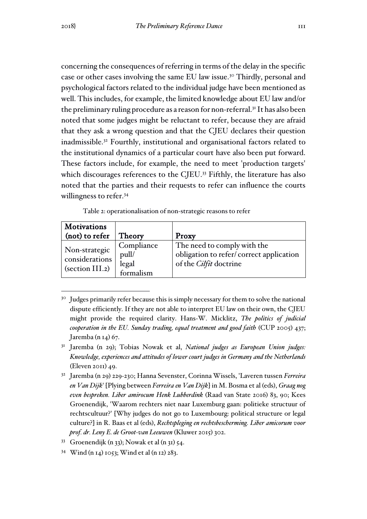$\overline{a}$ 

concerning the consequences of referring in terms of the delay in the specific case or other cases involving the same EU law issue.<sup>30</sup> Thirdly, personal and psychological factors related to the individual judge have been mentioned as well. This includes, for example, the limited knowledge about EU law and/or the preliminary ruling procedure as a reason for non-referral.<sup>31</sup> It has also been noted that some judges might be reluctant to refer, because they are afraid that they ask a wrong question and that the CJEU declares their question inadmissible.<sup>32</sup> Fourthly, institutional and organisational factors related to the institutional dynamics of a particular court have also been put forward. These factors include, for example, the need to meet 'production targets' which discourages references to the CJEU.<sup>33</sup> Fifthly, the literature has also noted that the parties and their requests to refer can influence the courts willingness to refer.<sup>34</sup>

Table 2: operationalisation of non-strategic reasons to refer

| <b>Motivations</b><br>(not) to refer               | Theory                                    | Proxy                                                                                                   |
|----------------------------------------------------|-------------------------------------------|---------------------------------------------------------------------------------------------------------|
| Non-strategic<br>considerations<br>(section III.2) | Compliance<br>pull/<br>legal<br>formalism | The need to comply with the<br>obligation to refer/correct application<br>of the <i>Cilfit</i> doctrine |

<sup>&</sup>lt;sup>30</sup> Judges primarily refer because this is simply necessary for them to solve the national dispute efficiently. If they are not able to interpret EU law on their own, the CJEU might provide the required clarity. Hans-W. Micklitz, *The politics of judicial cooperation in the EU. Sunday trading, equal treatment and good faith* (CUP 2005) 437; Jaremba (n 14) 67.

- <sup>33</sup> Groenendijk (n 33); Nowak et al (n 31)  $54$ .
- <sup>34</sup> Wind (n 14) 1053; Wind et al (n 12) 283.

<sup>31</sup> Jaremba (n 29); Tobias Nowak et al, *National judges as European Union judges: Knowledge, experiences and attitudes of lower court judges in Germany and the Netherlands* (Eleven 2011) 49.

<sup>32</sup> Jaremba (n 29) 229-230; Hanna Sevenster, Corinna Wissels, 'Laveren tussen *Ferreira en Van Dijk*' [Plying between *Ferreira en Van Dijk*] in M. Bosma et al (eds), *Graag nog even bespreken. Liber amirocum Henk Lubberdink* (Raad van State 2016) 83, 90; Kees Groenendijk, 'Waarom rechters niet naar Luxemburg gaan: politieke structuur of rechtscultuur?' [Why judges do not go to Luxembourg: political structure or legal culture?] in R. Baas et al (eds), *Rechtspleging en rechtsbescherming. Liber amicorum voor prof. dr. Leny E. de Groot-van Leeuwen* (Kluwer 2015) 302.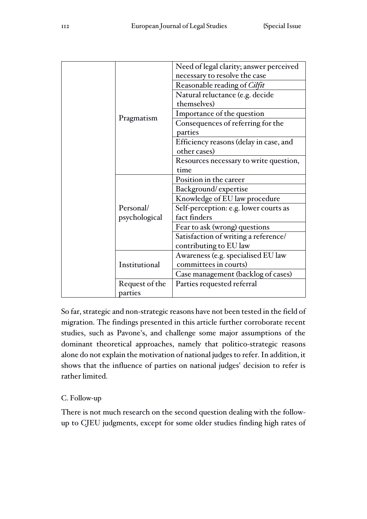|  |                            | Need of legal clarity; answer perceived |  |  |
|--|----------------------------|-----------------------------------------|--|--|
|  |                            | necessary to resolve the case           |  |  |
|  |                            | Reasonable reading of Cilfit            |  |  |
|  |                            | Natural reluctance (e.g. decide         |  |  |
|  |                            | themselves)                             |  |  |
|  |                            | Importance of the question              |  |  |
|  | Pragmatism                 | Consequences of referring for the       |  |  |
|  |                            | parties                                 |  |  |
|  |                            | Efficiency reasons (delay in case, and  |  |  |
|  |                            | other cases)                            |  |  |
|  |                            | Resources necessary to write question,  |  |  |
|  |                            | time                                    |  |  |
|  | Personal/<br>psychological | Position in the career                  |  |  |
|  |                            | Background/expertise                    |  |  |
|  |                            | Knowledge of EU law procedure           |  |  |
|  |                            | Self-perception: e.g. lower courts as   |  |  |
|  |                            | fact finders                            |  |  |
|  |                            | Fear to ask (wrong) questions           |  |  |
|  |                            | Satisfaction of writing a reference/    |  |  |
|  |                            | contributing to EU law                  |  |  |
|  |                            | Awareness (e.g. specialised EU law      |  |  |
|  | Institutional              | committees in courts)                   |  |  |
|  |                            | Case management (backlog of cases)      |  |  |
|  | Request of the             | Parties requested referral              |  |  |
|  | parties                    |                                         |  |  |

So far, strategic and non-strategic reasons have not been tested in the field of migration. The findings presented in this article further corroborate recent studies, such as Pavone's, and challenge some major assumptions of the dominant theoretical approaches, namely that politico-strategic reasons alone do not explain the motivation of national judges to refer. In addition, it shows that the influence of parties on national judges' decision to refer is rather limited.

# C. Follow-up

There is not much research on the second question dealing with the followup to CJEU judgments, except for some older studies finding high rates of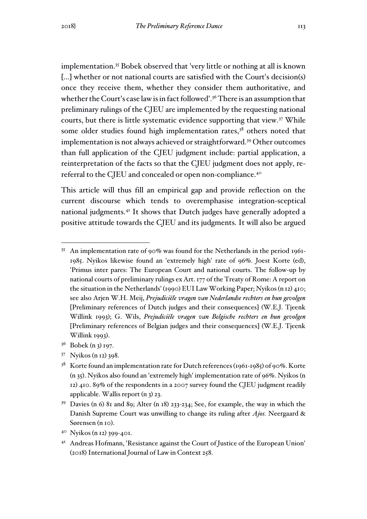implementation.<sup>35</sup> Bobek observed that 'very little or nothing at all is known [...] whether or not national courts are satisfied with the Court's decision(s) once they receive them, whether they consider them authoritative, and whether the Court's case law is in fact followed'.<sup>36</sup> There is an assumption that preliminary rulings of the CJEU are implemented by the requesting national courts, but there is little systematic evidence supporting that view.<sup>37</sup> While some older studies found high implementation rates,<sup>38</sup> others noted that implementation is not always achieved or straightforward.<sup>39</sup> Other outcomes than full application of the CJEU judgment include: partial application, a reinterpretation of the facts so that the CJEU judgment does not apply, rereferral to the CJEU and concealed or open non-compliance.<sup>40</sup>

This article will thus fill an empirical gap and provide reflection on the current discourse which tends to overemphasise integration-sceptical national judgments.<sup>41</sup> It shows that Dutch judges have generally adopted a positive attitude towards the CJEU and its judgments. It will also be argued

<sup>35</sup> An implementation rate of 90% was found for the Netherlands in the period 1961- 1985. Nyikos likewise found an 'extremely high' rate of 96%. Joest Korte (ed), 'Primus inter pares: The European Court and national courts. The follow-up by national courts of preliminary rulings ex Art. 177 of the Treaty of Rome: A report on the situation in the Netherlands' (1990) EUI Law Working Paper; Nyikos (n 12) 410; see also Arjen W.H. Meij, *Prejudiciële vragen van Nederlandse rechters en hun gevolgen* [Preliminary references of Dutch judges and their consequences] (W.E.J. Tjeenk Willink 1993); G. Wils, *Prejudiciële vragen van Belgische rechters en hun gevolgen* [Preliminary references of Belgian judges and their consequences] (W.E.J. Tjeenk Willink 1993).

 $3^{6}$  Bobek (n 3) 197.

<sup>37</sup> Nyikos (n 12) 398.

 $38$  Korte found an implementation rate for Dutch references (1961-1985) of 90%. Korte (n 35). Nyikos also found an 'extremely high' implementation rate of 96%. Nyikos (n 12) 410. 89% of the respondents in a 2007 survey found the CJEU judgment readily applicable. Wallis report (n 3) 23.

<sup>39</sup> Davies (n 6) 81 and 89; Alter (n 18) 233-234; See, for example, the way in which the Danish Supreme Court was unwilling to change its ruling after *Ajos.* Neergaard & Sørensen (n 10).

<sup>40</sup> Nyikos (n 12) 399-401.

<sup>41</sup> Andreas Hofmann, 'Resistance against the Court of Justice of the European Union' (2018) International Journal of Law in Context 258.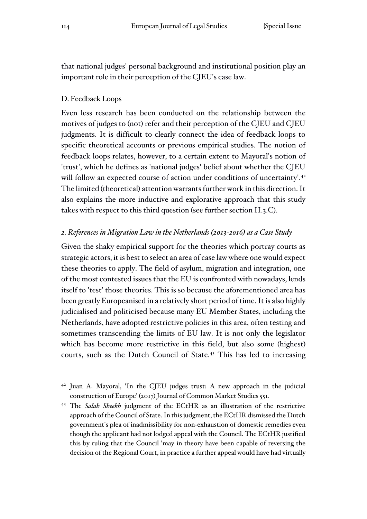that national judges' personal background and institutional position play an important role in their perception of the CJEU's case law.

## D. Feedback Loops

Even less research has been conducted on the relationship between the motives of judges to (not) refer and their perception of the CJEU and CJEU judgments. It is difficult to clearly connect the idea of feedback loops to specific theoretical accounts or previous empirical studies. The notion of feedback loops relates, however, to a certain extent to Mayoral's notion of 'trust', which he defines as 'national judges' belief about whether the CJEU will follow an expected course of action under conditions of uncertainty'.<sup>42</sup> The limited (theoretical) attention warrants further work in this direction. It also explains the more inductive and explorative approach that this study takes with respect to this third question (see further section II.3.C).

## *2. References in Migration Law in the Netherlands (2013-2016) as a Case Study*

Given the shaky empirical support for the theories which portray courts as strategic actors, it is best to select an area of case law where one would expect these theories to apply. The field of asylum, migration and integration, one of the most contested issues that the EU is confronted with nowadays, lends itself to 'test' those theories. This is so because the aforementioned area has been greatly Europeanised in a relatively short period of time. It is also highly judicialised and politicised because many EU Member States, including the Netherlands, have adopted restrictive policies in this area, often testing and sometimes transcending the limits of EU law. It is not only the legislator which has become more restrictive in this field, but also some (highest) courts, such as the Dutch Council of State.<sup>43</sup> This has led to increasing

<sup>42</sup> Juan A. Mayoral, 'In the CJEU judges trust: A new approach in the judicial construction of Europe' (2017) Journal of Common Market Studies 551.

<sup>43</sup> The *Salah Sheekh* judgment of the ECtHR as an illustration of the restrictive approach of the Council of State. In this judgment, the ECtHR dismissed the Dutch government's plea of inadmissibility for non-exhaustion of domestic remedies even though the applicant had not lodged appeal with the Council. The ECtHR justified this by ruling that the Council 'may in theory have been capable of reversing the decision of the Regional Court, in practice a further appeal would have had virtually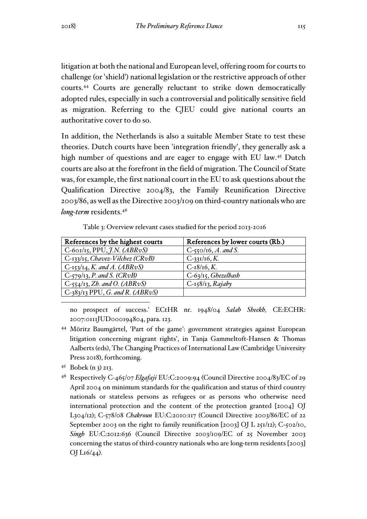litigation at both the national and European level, offering room for courts to challenge (or 'shield') national legislation or the restrictive approach of other courts.<sup>44</sup> Courts are generally reluctant to strike down democratically adopted rules, especially in such a controversial and politically sensitive field as migration. Referring to the CJEU could give national courts an authoritative cover to do so.

In addition, the Netherlands is also a suitable Member State to test these theories. Dutch courts have been 'integration friendly', they generally ask a high number of questions and are eager to engage with EU law.<sup>45</sup> Dutch courts are also at the forefront in the field of migration. The Council of State was, for example, the first national court in the EU to ask questions about the Qualification Directive 2004/83, the Family Reunification Directive 2003/86, as well as the Directive 2003/109 on third-country nationals who are *long-term* residents.<sup>46</sup>

Table 3: Overview relevant cases studied for the period 2013-2016

| References by the highest courts                   | References by lower courts (Rb.) |
|----------------------------------------------------|----------------------------------|
| $C$ -601/15, PPU, <i>J.N.</i> ( <i>ABRvS</i> )     | $C$ -550/16, A. and S.           |
| $C$ -133/15, <i>Chavez-Vilchez</i> ( <i>CRvB</i> ) | $C$ -331/16, K.                  |
| $C$ -153/14, K. and A. (ABRvS)                     | $C-18/16, K.$                    |
| $C$ -579/13, <i>P. and S. (CRvB)</i>               | $C-63/15$ , Ghezelbash           |
| $C$ -554/13, Zb. and O. (ABRvS)                    | $C$ -158/13, Rajaby              |
| $C$ -383/13 PPU, G. and R. (ABRvS)                 |                                  |

no prospect of success.' ECtHR nr. 1948/04 *Salah Sheekh,* CE:ECHR: 2007:0111JUD000194804, para. 123.

- <sup>44</sup> Möritz Baumgärtel, 'Part of the game': government strategies against European litigation concerning migrant rights', in Tanja Gammeltoft-Hansen & Thomas Aalberts (eds), The Changing Practices of International Law (Cambridge University Press 2018), forthcoming.
- <sup>45</sup> Bobek (n 3) 213.

 $\overline{a}$ 

<sup>46</sup> Respectively C-465/07 *Elgafaji* EU:C:2009:94 (Council Directive 2004/83/EC of 29 April 2004 on minimum standards for the qualification and status of third country nationals or stateless persons as refugees or as persons who otherwise need international protection and the content of the protection granted [2004] OJ L304/12); C-578/08 *Chakroun* EU:C:2010:117 (Council Directive 2003/86/EC of 22 September 2003 on the right to family reunification [2003] OJ L 251/12); C-502/10, *Singh* EU:C:2012:636 (Council Directive 2003/109/EC of 25 November 2003 concerning the status of third-country nationals who are long-term residents [2003] OJ  $Li(6/44)$ .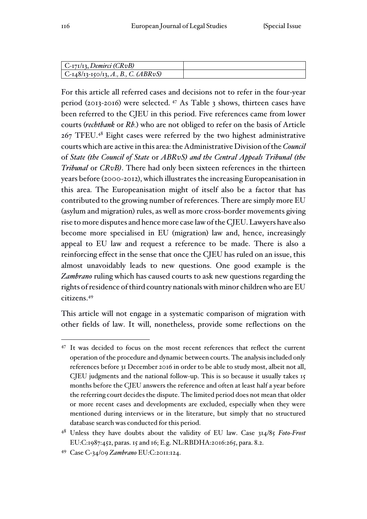| $C$ -171/13, Demirci (CRvB)            |  |
|----------------------------------------|--|
| $C$ -148/13-150/13, A., B., C. (ABRvS) |  |

For this article all referred cases and decisions not to refer in the four-year period (2013-2016) were selected. <sup>47</sup> As Table 3 shows, thirteen cases have been referred to the CJEU in this period. Five references came from lower courts (*rechtbank* or *Rb.*) who are not obliged to refer on the basis of Article  $267$  TFEU.<sup>48</sup> Eight cases were referred by the two highest administrative courts which are active in this area: the Administrative Division of the *Council* of *State (the Council of State* or *ABRvS) and the Central Appeals Tribunal (the Tribunal* or *CRvB)*. There had only been sixteen references in the thirteen years before (2000-2012), which illustrates the increasing Europeanisation in this area. The Europeanisation might of itself also be a factor that has contributed to the growing number of references. There are simply more EU (asylum and migration) rules, as well as more cross-border movements giving rise to more disputes and hence more case law of the CJEU. Lawyers have also become more specialised in EU (migration) law and, hence, increasingly appeal to EU law and request a reference to be made. There is also a reinforcing effect in the sense that once the CJEU has ruled on an issue, this almost unavoidably leads to new questions. One good example is the *Zambrano* ruling which has caused courts to ask new questions regarding the rights of residence of third country nationals with minor children who are EU citizens.<sup>49</sup>

This article will not engage in a systematic comparison of migration with other fields of law. It will, nonetheless, provide some reflections on the

<sup>47</sup> It was decided to focus on the most recent references that reflect the current operation of the procedure and dynamic between courts. The analysis included only references before 31 December 2016 in order to be able to study most, albeit not all, CJEU judgments and the national follow-up. This is so because it usually takes 15 months before the CJEU answers the reference and often at least half a year before the referring court decides the dispute. The limited period does not mean that older or more recent cases and developments are excluded, especially when they were mentioned during interviews or in the literature, but simply that no structured database search was conducted for this period.

<sup>48</sup> Unless they have doubts about the validity of EU law. Case 314/85 *Foto-Frost* EU:C:1987:452, paras. 15 and 16; E.g. NL:RBDHA:2016:265, para. 8.2.

<sup>49</sup> Case C-34/09 *Zambrano* EU:C:2011:124.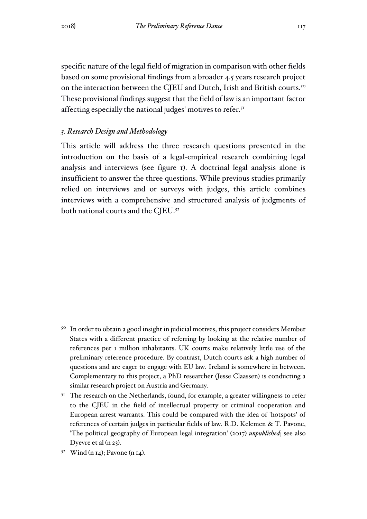$\overline{a}$ 

specific nature of the legal field of migration in comparison with other fields based on some provisional findings from a broader 4.5 years research project on the interaction between the CJEU and Dutch, Irish and British courts.<sup>50</sup> These provisional findings suggest that the field of law is an important factor affecting especially the national judges' motives to refer.<sup>51</sup>

#### *3. Research Design and Methodology*

This article will address the three research questions presented in the introduction on the basis of a legal-empirical research combining legal analysis and interviews (see figure 1). A doctrinal legal analysis alone is insufficient to answer the three questions. While previous studies primarily relied on interviews and or surveys with judges, this article combines interviews with a comprehensive and structured analysis of judgments of both national courts and the CJEU.<sup>52</sup>

 $50<sup>50</sup>$  In order to obtain a good insight in judicial motives, this project considers Member States with a different practice of referring by looking at the relative number of references per 1 million inhabitants. UK courts make relatively little use of the preliminary reference procedure. By contrast, Dutch courts ask a high number of questions and are eager to engage with EU law. Ireland is somewhere in between. Complementary to this project, a PhD researcher (Jesse Claassen) is conducting a similar research project on Austria and Germany.

<sup>&</sup>lt;sup>51</sup> The research on the Netherlands, found, for example, a greater willingness to refer to the CJEU in the field of intellectual property or criminal cooperation and European arrest warrants. This could be compared with the idea of 'hotspots' of references of certain judges in particular fields of law. R.D. Kelemen & T. Pavone, 'The political geography of European legal integration' (2017) *unpublished*; see also Dyevre et al (n 23).

 $52$  Wind (n 14); Pavone (n 14).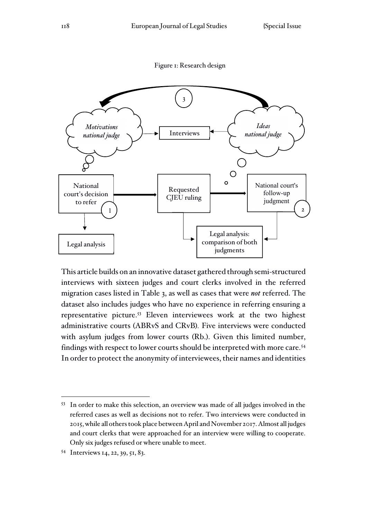



This article builds on an innovative dataset gathered through semi-structured interviews with sixteen judges and court clerks involved in the referred migration cases listed in Table 3, as well as cases that were *not* referred. The dataset also includes judges who have no experience in referring ensuring a representative picture.<sup>53</sup> Eleven interviewees work at the two highest administrative courts (ABRvS and CRvB)*.* Five interviews were conducted with asylum judges from lower courts (Rb.). Given this limited number, findings with respect to lower courts should be interpreted with more care.<sup>54</sup> In order to protect the anonymity of interviewees, their names and identities

<sup>53</sup> In order to make this selection, an overview was made of all judges involved in the referred cases as well as decisions not to refer. Two interviews were conducted in 2015, while all others took place between April and November 2017. Almost all judges and court clerks that were approached for an interview were willing to cooperate. Only six judges refused or where unable to meet.

<sup>54</sup> Interviews 14, 22, 39, 51, 83.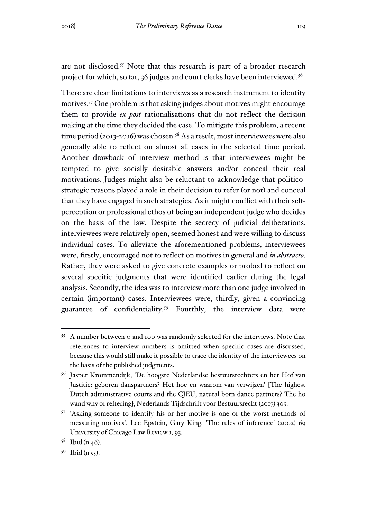are not disclosed.<sup>55</sup> Note that this research is part of a broader research project for which, so far, 36 judges and court clerks have been interviewed.<sup>56</sup>

There are clear limitations to interviews as a research instrument to identify motives.<sup>57</sup> One problem is that asking judges about motives might encourage them to provide *ex post* rationalisations that do not reflect the decision making at the time they decided the case. To mitigate this problem, a recent time period (2013-2016) was chosen.<sup>58</sup> As a result, most interviewees were also generally able to reflect on almost all cases in the selected time period. Another drawback of interview method is that interviewees might be tempted to give socially desirable answers and/or conceal their real motivations. Judges might also be reluctant to acknowledge that politicostrategic reasons played a role in their decision to refer (or not) and conceal that they have engaged in such strategies. As it might conflict with their selfperception or professional ethos of being an independent judge who decides on the basis of the law. Despite the secrecy of judicial deliberations, interviewees were relatively open, seemed honest and were willing to discuss individual cases. To alleviate the aforementioned problems, interviewees were, firstly, encouraged not to reflect on motives in general and *in abstracto.*  Rather, they were asked to give concrete examples or probed to reflect on several specific judgments that were identified earlier during the legal analysis. Secondly, the idea was to interview more than one judge involved in certain (important) cases. Interviewees were, thirdly, given a convincing guarantee of confidentiality.<sup>59</sup> Fourthly, the interview data were

<sup>55</sup> A number between 0 and 100 was randomly selected for the interviews. Note that references to interview numbers is omitted when specific cases are discussed, because this would still make it possible to trace the identity of the interviewees on the basis of the published judgments.

<sup>56</sup> Jasper Krommendijk, 'De hoogste Nederlandse bestuursrechters en het Hof van Justitie: geboren danspartners? Het hoe en waarom van verwijzen' [The highest Dutch administrative courts and the CJEU; natural born dance partners? The ho wand why of reffering], Nederlands Tijdschrift voor Bestuursrecht (2017) 305.

<sup>57</sup> 'Asking someone to identify his or her motive is one of the worst methods of measuring motives'. Lee Epstein, Gary King, 'The rules of inference' (2002) 69 University of Chicago Law Review 1, 93.

 $5^8$  Ibid (n 46).

<sup>59</sup> Ibid (n 55).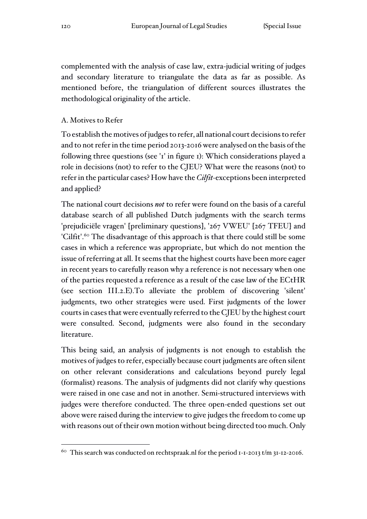complemented with the analysis of case law, extra-judicial writing of judges and secondary literature to triangulate the data as far as possible. As mentioned before, the triangulation of different sources illustrates the methodological originality of the article.

#### A. Motives to Refer

To establish the motives of judges to refer, all national court decisions to refer and to not refer in the time period 2013-2016 were analysed on the basis of the following three questions (see '1' in figure 1): Which considerations played a role in decisions (not) to refer to the CJEU? What were the reasons (not) to refer in the particular cases? How have the *Cilfit-*exceptions been interpreted and applied?

The national court decisions *not* to refer were found on the basis of a careful database search of all published Dutch judgments with the search terms 'prejudiciële vragen' [preliminary questions], '267 VWEU' [267 TFEU] and 'Cilfit'.<sup>60</sup> The disadvantage of this approach is that there could still be some cases in which a reference was appropriate, but which do not mention the issue of referring at all. It seems that the highest courts have been more eager in recent years to carefully reason why a reference is not necessary when one of the parties requested a reference as a result of the case law of the ECtHR (see section III.2.E).To alleviate the problem of discovering 'silent' judgments, two other strategies were used. First judgments of the lower courts in cases that were eventually referred to the CJEU by the highest court were consulted. Second, judgments were also found in the secondary literature.

This being said, an analysis of judgments is not enough to establish the motives of judges to refer, especially because court judgments are often silent on other relevant considerations and calculations beyond purely legal (formalist) reasons. The analysis of judgments did not clarify why questions were raised in one case and not in another. Semi-structured interviews with judges were therefore conducted. The three open-ended questions set out above were raised during the interview to give judges the freedom to come up with reasons out of their own motion without being directed too much. Only

<sup>60</sup> This search was conducted on rechtspraak.nl for the period 1-1-2013 t/m 31-12-2016.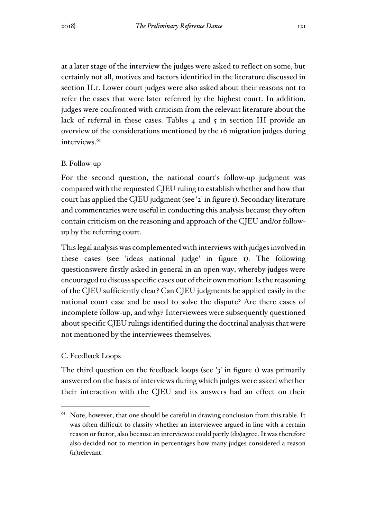at a later stage of the interview the judges were asked to reflect on some, but certainly not all, motives and factors identified in the literature discussed in section II.1. Lower court judges were also asked about their reasons not to refer the cases that were later referred by the highest court. In addition, judges were confronted with criticism from the relevant literature about the lack of referral in these cases. Tables  $4$  and  $5$  in section III provide an overview of the considerations mentioned by the 16 migration judges during interviews.<sup>61</sup>

## B. Follow-up

For the second question, the national court's follow-up judgment was compared with the requested CJEU ruling to establish whether and how that court has applied the CJEU judgment (see '2' in figure 1). Secondary literature and commentaries were useful in conducting this analysis because they often contain criticism on the reasoning and approach of the CJEU and/or followup by the referring court.

This legal analysis was complemented with interviews with judges involved in these cases (see 'ideas national judge' in figure 1). The following questionswere firstly asked in general in an open way, whereby judges were encouraged to discuss specific cases out of their own motion: Is the reasoning of the CJEU sufficiently clear? Can CJEU judgments be applied easily in the national court case and be used to solve the dispute? Are there cases of incomplete follow-up, and why? Interviewees were subsequently questioned about specific CJEU rulings identified during the doctrinal analysis that were not mentioned by the interviewees themselves.

## C. Feedback Loops

 $\overline{a}$ 

The third question on the feedback loops (see  $\frac{1}{3}$  in figure 1) was primarily answered on the basis of interviews during which judges were asked whether their interaction with the CJEU and its answers had an effect on their

 $61$  Note, however, that one should be careful in drawing conclusion from this table. It was often difficult to classify whether an interviewee argued in line with a certain reason or factor, also because an interviewee could partly (dis)agree. It was therefore also decided not to mention in percentages how many judges considered a reason (ir)relevant.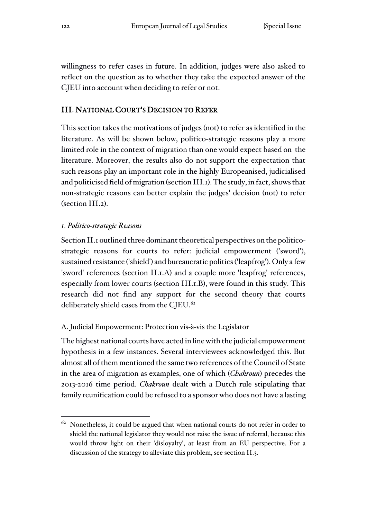willingness to refer cases in future. In addition, judges were also asked to reflect on the question as to whether they take the expected answer of the CJEU into account when deciding to refer or not.

# III. NATIONAL COURT'S DECISION TO REFER

This section takes the motivations of judges (not) to refer as identified in the literature. As will be shown below, politico-strategic reasons play a more limited role in the context of migration than one would expect based on the literature. Moreover, the results also do not support the expectation that such reasons play an important role in the highly Europeanised, judicialised and politicised field of migration (section III.1). The study, in fact, shows that non-strategic reasons can better explain the judges' decision (not) to refer (section III.2).

# *1. Politico-strategic Reasons*

 $\overline{a}$ 

Section II.1 outlined three dominant theoretical perspectives on the politicostrategic reasons for courts to refer: judicial empowerment ('sword'), sustained resistance ('shield') and bureaucratic politics ('leapfrog'). Only a few 'sword' references (section II.1.A) and a couple more 'leapfrog' references, especially from lower courts (section III.1.B), were found in this study. This research did not find any support for the second theory that courts deliberately shield cases from the CJEU.<sup>62</sup>

# A. Judicial Empowerment: Protection vis-à-vis the Legislator

The highest national courts have acted in line with the judicial empowerment hypothesis in a few instances. Several interviewees acknowledged this. But almost all of them mentioned the same two references of the Council of State in the area of migration as examples, one of which (*Chakroun*) precedes the 2013-2016 time period. *Chakroun* dealt with a Dutch rule stipulating that family reunification could be refused to a sponsor who does not have a lasting

 $62$  Nonetheless, it could be argued that when national courts do not refer in order to shield the national legislator they would not raise the issue of referral, because this would throw light on their 'disloyalty', at least from an EU perspective. For a discussion of the strategy to alleviate this problem, see section II.3.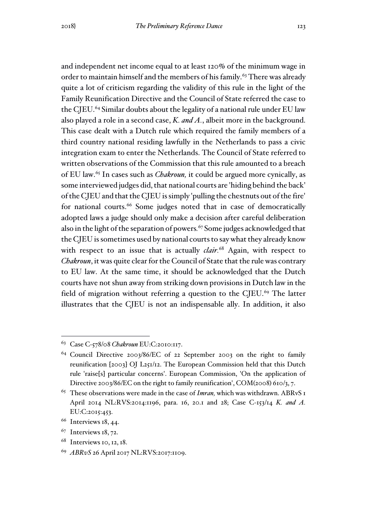and independent net income equal to at least 120% of the minimum wage in order to maintain himself and the members of his family.<sup>63</sup> There was already quite a lot of criticism regarding the validity of this rule in the light of the Family Reunification Directive and the Council of State referred the case to the CJEU.<sup>64</sup> Similar doubts about the legality of a national rule under EU law also played a role in a second case, *K. and A.*, albeit more in the background. This case dealt with a Dutch rule which required the family members of a third country national residing lawfully in the Netherlands to pass a civic integration exam to enter the Netherlands. The Council of State referred to written observations of the Commission that this rule amounted to a breach of EU law.<sup>65</sup> In cases such as *Chakroun,* it could be argued more cynically, as some interviewed judges did, that national courts are 'hiding behind the back' of the CJEU and that the CJEU is simply 'pulling the chestnuts out of the fire' for national courts.<sup>66</sup> Some judges noted that in case of democratically adopted laws a judge should only make a decision after careful deliberation also in the light of the separation of powers*.* <sup>67</sup> Some judges acknowledged that the CJEU is sometimes used by national courts to say what they already know with respect to an issue that is actually *clair.*<sup>68</sup> Again, with respect to *Chakroun*, it was quite clear for the Council of State that the rule was contrary to EU law. At the same time, it should be acknowledged that the Dutch courts have not shun away from striking down provisions in Dutch law in the field of migration without referring a question to the CJEU.<sup>69</sup> The latter illustrates that the CJEU is not an indispensable ally. In addition, it also

<sup>63</sup> Case C-578/08 *Chakroun* EU:C:2010:117.

<sup>64</sup> Council Directive 2003/86/EC of 22 September 2003 on the right to family reunification [2003] OJ L251/12. The European Commission held that this Dutch rule 'raise[s] particular concerns'. European Commission, 'On the application of Directive 2003/86/EC on the right to family reunification', COM(2008) 610/3, 7.

<sup>65</sup> These observations were made in the case of *Imran,* which was withdrawn. ABRvS 1 April 2014 NL:RVS:2014:1196, para. 16, 20.1 and 28; Case C-153/14 *K. and A.*  EU:C:2015:453.

<sup>66</sup> Interviews 18, 44.

 $67$  Interviews 18, 72.

Interviews 10, 12, 18.

<sup>69</sup> *ABRvS* 26 April 2017 NL:RVS:2017:1109.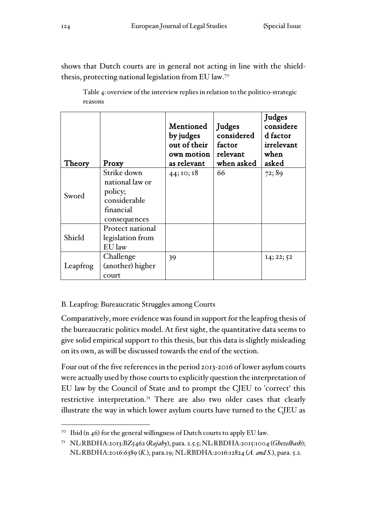shows that Dutch courts are in general not acting in line with the shieldthesis, protecting national legislation from EU law.<sup>70</sup>

| Theory   | Proxy                                                                                  | Mentioned<br>by judges<br>out of their<br>own motion<br>as relevant | Judges<br>considered<br>factor<br>relevant<br>when asked | Judges<br>considere<br>d factor<br>irrelevant<br>when<br>asked |
|----------|----------------------------------------------------------------------------------------|---------------------------------------------------------------------|----------------------------------------------------------|----------------------------------------------------------------|
| Sword    | Strike down<br>national law or<br>policy;<br>considerable<br>financial<br>consequences | 44; 10; 18                                                          | 66                                                       | 72; 89                                                         |
| Shield   | Protect national<br>legislation from<br>EU law                                         |                                                                     |                                                          |                                                                |
| Leapfrog | Challenge<br>(another) higher<br>court                                                 | 39                                                                  |                                                          | 14; 22; 52                                                     |

Table 4: overview of the interview replies in relation to the politico-strategic reasons

# B. Leapfrog: Bureaucratic Struggles among Courts

Comparatively, more evidence was found in support for the leapfrog thesis of the bureaucratic politics model. At first sight, the quantitative data seems to give solid empirical support to this thesis, but this data is slightly misleading on its own, as will be discussed towards the end of the section.

Four out of the five references in the period 2013-2016 of lower asylum courts were actually used by those courts to explicitly question the interpretation of EU law by the Council of State and to prompt the CJEU to 'correct' this restrictive interpretation.<sup>71</sup> There are also two older cases that clearly illustrate the way in which lower asylum courts have turned to the CJEU as

 $70$  Ibid (n 46) for the general willingness of Dutch courts to apply EU law.

<sup>71</sup> NL:RBDHA:2013:BZ5462 (*Rajaby*), para. 2.5.5; NL:RBDHA:2015:1004 (*Ghezelbash*); NL:RBDHA:2016:6389 (*K.*), para.19; NL:RBDHA:2016:12824 (*A. and S.*), para. 5.2.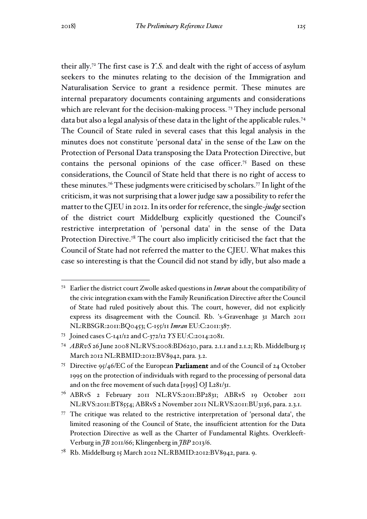$\overline{a}$ 

their ally.<sup>72</sup> The first case is  $\gamma$ .S. and dealt with the right of access of asylum seekers to the minutes relating to the decision of the Immigration and Naturalisation Service to grant a residence permit. These minutes are internal preparatory documents containing arguments and considerations which are relevant for the decision-making process.<sup>73</sup> They include personal data but also a legal analysis of these data in the light of the applicable rules.<sup>74</sup> The Council of State ruled in several cases that this legal analysis in the minutes does not constitute 'personal data' in the sense of the Law on the Protection of Personal Data transposing the Data Protection Directive, but contains the personal opinions of the case officer.<sup>75</sup> Based on these considerations, the Council of State held that there is no right of access to these minutes.<sup>76</sup> These judgments were criticised by scholars. <sup>77</sup> In light of the criticism, it was not surprising that a lower judge saw a possibility to refer the matter to the CJEU in 2012. In its order for reference, the single-*judge* section of the district court Middelburg explicitly questioned the Council's restrictive interpretation of 'personal data' in the sense of the Data Protection Directive.<sup>78</sup> The court also implicitly criticised the fact that the Council of State had not referred the matter to the CJEU. What makes this case so interesting is that the Council did not stand by idly, but also made a

<sup>72</sup> Earlier the district court Zwolle asked questions in *Imran* about the compatibility of the civic integration exam with the Family Reunification Directive after the Council of State had ruled positively about this. The court, however, did not explicitly express its disagreement with the Council. Rb. 's-Gravenhage 31 March 2011 NL:RBSGR:2011:BQ0453; C-155/11 *Imran* EU:C:2011:387.

<sup>73</sup> Joined cases C-141/12 and C-372/12 *YS* EU:C:2014:2081.

<sup>74</sup> *ABRvS* 26 June 2008 NL:RVS:2008:BD6230, para. 2.1.1 and 2.1.2; Rb. Middelburg 15 March 2012 NL:RBMID:2012:BV8942, para. 3.2.

<sup>&</sup>lt;sup>75</sup> Directive 95/46/EC of the European **Parliament** and of the Council of 24 October 1995 on the protection of individuals with regard to the processing of personal data and on the free movement of such data [1995] OJ L281/31.

<sup>76</sup> ABRvS 2 February 2011 NL:RVS:2011:BP2831; ABRvS 19 October 2011 NL:RVS:2011:BT8554; ABRvS 2 November 2011 NL:RVS:2011:BU3136, para. 2.3.1.

<sup>77</sup> The critique was related to the restrictive interpretation of 'personal data', the limited reasoning of the Council of State, the insufficient attention for the Data Protection Directive as well as the Charter of Fundamental Rights. Overkleeft-Verburg in *JB* 2011/66; Klingenberg in *JBP* 2013/6.

<sup>78</sup> Rb. Middelburg 15 March 2012 NL:RBMID:2012:BV8942, para. 9.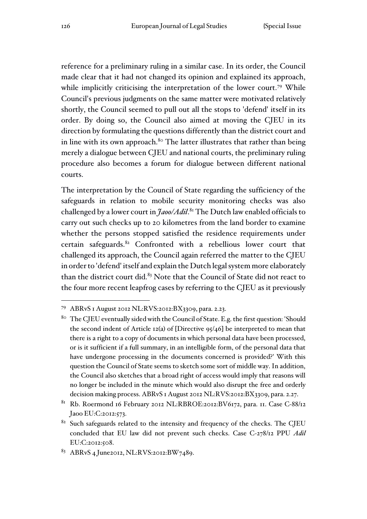reference for a preliminary ruling in a similar case. In its order, the Council made clear that it had not changed its opinion and explained its approach, while implicitly criticising the interpretation of the lower court.<sup>79</sup> While Council's previous judgments on the same matter were motivated relatively shortly, the Council seemed to pull out all the stops to 'defend' itself in its order. By doing so, the Council also aimed at moving the CJEU in its direction by formulating the questions differently than the district court and in line with its own approach.<sup>80</sup> The latter illustrates that rather than being merely a dialogue between CJEU and national courts, the preliminary ruling procedure also becomes a forum for dialogue between different national courts.

The interpretation by the Council of State regarding the sufficiency of the safeguards in relation to mobile security monitoring checks was also challenged by a lower court in *Jaoo/Adil*. <sup>81</sup> The Dutch law enabled officials to carry out such checks up to 20 kilometres from the land border to examine whether the persons stopped satisfied the residence requirements under certain safeguards.<sup>82</sup> Confronted with a rebellious lower court that challenged its approach, the Council again referred the matter to the CJEU in order to 'defend' itself and explain the Dutch legal system more elaborately than the district court did.<sup>83</sup> Note that the Council of State did not react to the four more recent leapfrog cases by referring to the CJEU as it previously

<sup>79</sup> ABRvS 1 August 2012 NL:RVS:2012:BX3309, para. 2.23.

<sup>&</sup>lt;sup>80</sup> The CJEU eventually sided with the Council of State. E.g. the first question: 'Should the second indent of Article 12(a) of [Directive  $95/46$ ] be interpreted to mean that there is a right to a copy of documents in which personal data have been processed, or is it sufficient if a full summary, in an intelligible form, of the personal data that have undergone processing in the documents concerned is provided?' With this question the Council of State seems to sketch some sort of middle way. In addition, the Council also sketches that a broad right of access would imply that reasons will no longer be included in the minute which would also disrupt the free and orderly decision making process. ABRvS 1 August 2012 NL:RVS:2012:BX3309, para. 2.27.

<sup>81</sup> Rb. Roermond 16 February 2012 NL:RBROE:2012:BV6172, para. 11. Case C-88/12 Jaoo EU:C:2012:573.

 $82$  Such safeguards related to the intensity and frequency of the checks. The CJEU concluded that EU law did not prevent such checks. Case C-278/12 PPU *Adil* EU:C:2012:508.

 $83$  ABRvS 4 June2012, NL:RVS:2012:BW7489.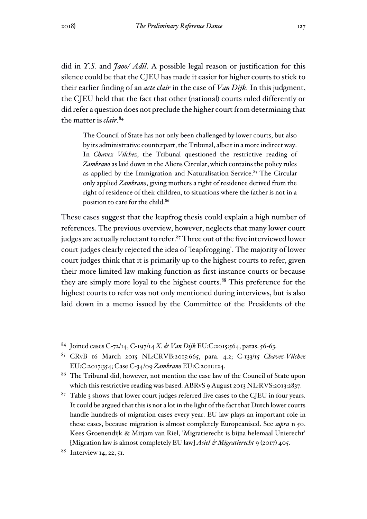did in *Y.S.* and *Jaoo/ Adil.* A possible legal reason or justification for this silence could be that the CJEU has made it easier for higher courts to stick to their earlier finding of an *acte clair* in the case of *Van Dijk*. In this judgment, the CJEU held that the fact that other (national) courts ruled differently or did refer a question does not preclude the higher court from determining that the matter is *clair.*<sup>84</sup>

The Council of State has not only been challenged by lower courts, but also by its administrative counterpart, the Tribunal, albeit in a more indirect way. In *Chavez Vilchez*, the Tribunal questioned the restrictive reading of *Zambrano* as laid down in the Aliens Circular, which contains the policy rules as applied by the Immigration and Naturalisation Service.<sup>85</sup> The Circular only applied *Zambrano*, giving mothers a right of residence derived from the right of residence of their children, to situations where the father is not in a position to care for the child.<sup>86</sup>

These cases suggest that the leapfrog thesis could explain a high number of references. The previous overview, however, neglects that many lower court judges are actually reluctant to refer.<sup>87</sup> Three out of the five interviewed lower court judges clearly rejected the idea of 'leapfrogging'. The majority of lower court judges think that it is primarily up to the highest courts to refer, given their more limited law making function as first instance courts or because they are simply more loyal to the highest courts.<sup>88</sup> This preference for the highest courts to refer was not only mentioned during interviews, but is also laid down in a memo issued by the Committee of the Presidents of the

<sup>88</sup> Interview 14, 22, 51.

<sup>84</sup> Joined cases C-72/14, C-197/14 *X. & Van Dijk* EU:C:2015:564, paras. 56-63.

<sup>85</sup> CRvB 16 March 2015 NL:CRVB:2015:665, para. 4.2; C-133/15 *Chavez-Vilchez*  EU:C:2017:354; Case C-34/09 *Zambrano* EU:C:2011:124.

<sup>86</sup> The Tribunal did, however, not mention the case law of the Council of State upon which this restrictive reading was based. ABRvS 9 August 2013 NL:RVS:2013:2837.

 $87$  Table 3 shows that lower court judges referred five cases to the CJEU in four years. It could be argued that this is not a lot in the light of the fact that Dutch lower courts handle hundreds of migration cases every year. EU law plays an important role in these cases, because migration is almost completely Europeanised. See *supra* n 50. Kees Groenendijk & Mirjam van Riel, 'Migratierecht is bijna helemaal Unierecht' [Migration law is almost completely EU law] *Asiel & Migratierecht* 9 (2017) 405.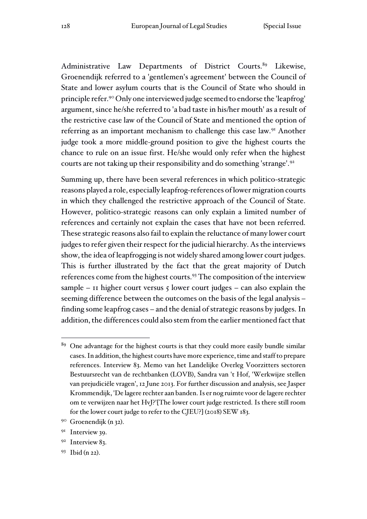Administrative Law Departments of District Courts.<sup>89</sup> Likewise, Groenendijk referred to a 'gentlemen's agreement' between the Council of State and lower asylum courts that is the Council of State who should in principle refer.<sup>90</sup> Only one interviewed judge seemed to endorse the 'leapfrog' argument, since he/she referred to 'a bad taste in his/her mouth' as a result of the restrictive case law of the Council of State and mentioned the option of referring as an important mechanism to challenge this case law.<sup>91</sup> Another judge took a more middle-ground position to give the highest courts the chance to rule on an issue first. He/she would only refer when the highest courts are not taking up their responsibility and do something 'strange'.<sup>92</sup>

Summing up, there have been several references in which politico-strategic reasons played a role, especially leapfrog-references of lower migration courts in which they challenged the restrictive approach of the Council of State. However, politico-strategic reasons can only explain a limited number of references and certainly not explain the cases that have not been referred. These strategic reasons also fail to explain the reluctance of many lower court judges to refer given their respect for the judicial hierarchy. As the interviews show, the idea of leapfrogging is not widely shared among lower court judges. This is further illustrated by the fact that the great majority of Dutch references come from the highest courts.<sup>93</sup> The composition of the interview sample – 11 higher court versus  $\zeta$  lower court judges – can also explain the seeming difference between the outcomes on the basis of the legal analysis – finding some leapfrog cases – and the denial of strategic reasons by judges. In addition, the differences could also stem from the earlier mentioned fact that

<sup>&</sup>lt;sup>89</sup> One advantage for the highest courts is that they could more easily bundle similar cases. In addition, the highest courts have more experience, time and staff to prepare references. Interview 83. Memo van het Landelijke Overleg Voorzitters sectoren Bestuursrecht van de rechtbanken (LOVB), Sandra van 't Hof, 'Werkwijze stellen van prejudiciële vragen', 12 June 2013. For further discussion and analysis, see Jasper Krommendijk, 'De lagere rechter aan banden. Is er nog ruimte voor de lagere rechter om te verwijzen naar het HvJ?'[The lower court judge restricted. Is there still room for the lower court judge to refer to the CJEU?] (2018) SEW 183*.*

<sup>90</sup> Groenendijk (n 32).

<sup>&</sup>lt;sup>91</sup> Interview 39.

<sup>92</sup> Interview 83.

<sup>93</sup> Ibid (n 22).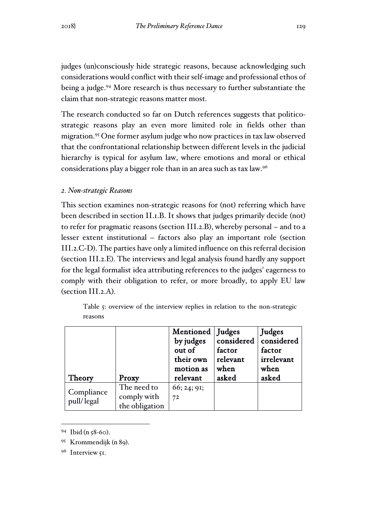judges (un)consciously hide strategic reasons, because acknowledging such considerations would conflict with their self-image and professional ethos of being a judge.<sup>94</sup> More research is thus necessary to further substantiate the claim that non-strategic reasons matter most.

The research conducted so far on Dutch references suggests that politicostrategic reasons play an even more limited role in fields other than migration.<sup>95</sup> One former asylum judge who now practices in tax law observed that the confrontational relationship between different levels in the judicial hierarchy is typical for asylum law, where emotions and moral or ethical considerations play a bigger role than in an area such as tax law.<sup>96</sup>

# *2. Non-strategic Reasons*

This section examines non-strategic reasons for (not) referring which have been described in section II.1.B. It shows that judges primarily decide (not) to refer for pragmatic reasons (section III.2.B), whereby personal – and to a lesser extent institutional – factors also play an important role (section III.2.C-D). The parties have only a limited influence on this referral decision (section III.2.E). The interviews and legal analysis found hardly any support for the legal formalist idea attributing references to the judges' eagerness to comply with their obligation to refer, or more broadly, to apply EU law (section III.2.A).

|               |                | Mentioned   | Judges     | Judges     |
|---------------|----------------|-------------|------------|------------|
|               |                | by judges   | considered | considered |
|               |                | out of      | factor     | factor     |
|               |                | their own   | relevant   | irrelevant |
|               |                | motion as   | when       | when       |
| <b>Theory</b> | Proxy          | relevant    | asked      | asked      |
|               | The need to    | 66; 24; 91; |            |            |
| Compliance    | comply with    | 72          |            |            |
| pull/legal    | the obligation |             |            |            |

Table 5: overview of the interview replies in relation to the non-strategic reasons

<sup>94</sup> Ibid (n 58-60).

 $\overline{a}$ 

<sup>95</sup> Krommendijk (n 89).

<sup>96</sup> Interview 51.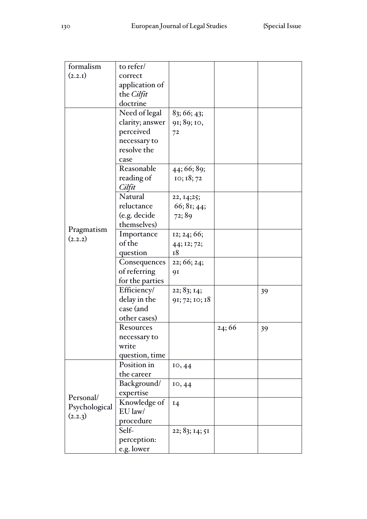| formalism     | to refer/       |                |       |    |
|---------------|-----------------|----------------|-------|----|
| (2.2.1)       | correct         |                |       |    |
|               | application of  |                |       |    |
|               | the Cilfit      |                |       |    |
|               | doctrine        |                |       |    |
|               | Need of legal   | 83; 66; 43;    |       |    |
|               | clarity; answer | 91; 89; 10,    |       |    |
|               | perceived       | 72             |       |    |
|               | necessary to    |                |       |    |
|               | resolve the     |                |       |    |
|               | case            |                |       |    |
|               | Reasonable      | 44; 66; 89;    |       |    |
|               | reading of      | 10; 18; 72     |       |    |
|               | Cilfit          |                |       |    |
|               | Natural         | 22, 14; 25;    |       |    |
|               | reluctance      | 66; 81; 44;    |       |    |
|               | (e.g. decide    | 72; 89         |       |    |
| Pragmatism    | themselves)     |                |       |    |
| (2.2.2)       | Importance      | 12; 24; 66;    |       |    |
|               | of the          | 44; 12; 72;    |       |    |
|               | question        | 18             |       |    |
|               | Consequences    | 22; 66; 24;    |       |    |
|               | of referring    | 91             |       |    |
|               | for the parties |                |       |    |
|               | Efficiency/     | 22; 83; 14;    |       | 39 |
|               | delay in the    | 91; 72; 10; 18 |       |    |
|               | case (and       |                |       |    |
|               | other cases)    |                |       |    |
|               | Resources       |                | 24;66 | 39 |
|               | necessary to    |                |       |    |
|               | write           |                |       |    |
|               | question, time  |                |       |    |
|               | Position in     | 10, 44         |       |    |
|               | the career      |                |       |    |
|               | Background/     | 10, 44         |       |    |
| Personal/     | expertise       |                |       |    |
| Psychological | Knowledge of    | 14             |       |    |
| (2.2.3)       | EU law/         |                |       |    |
|               | procedure       |                |       |    |
|               | Self-           | 22; 83; 14; 51 |       |    |
|               | perception:     |                |       |    |
|               | e.g. lower      |                |       |    |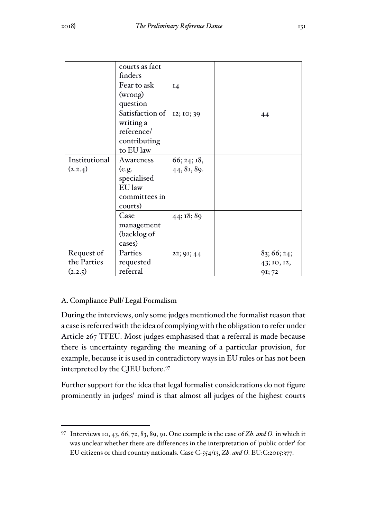|               | courts as fact  |             |             |
|---------------|-----------------|-------------|-------------|
|               | finders         |             |             |
|               | Fear to ask     | 14          |             |
|               | (wrong)         |             |             |
|               | question        |             |             |
|               | Satisfaction of | 12; 10; 39  | 44          |
|               | writing a       |             |             |
|               | reference/      |             |             |
|               | contributing    |             |             |
|               | to EU law       |             |             |
| Institutional | Awareness       | 66; 24; 18, |             |
| (2.2.4)       | (e.g.           | 44, 81, 89. |             |
|               | specialised     |             |             |
|               | EU law          |             |             |
|               | committees in   |             |             |
|               | courts)         |             |             |
|               | Case            | 44; 18; 89  |             |
|               | management      |             |             |
|               | (backlog of     |             |             |
|               | cases)          |             |             |
| Request of    | Parties         | 22; 91; 44  | 83; 66; 24; |
| the Parties   | requested       |             | 43; 10, 12, |
| (2.2.5)       | referral        |             | 91; 72      |

# A. Compliance Pull/ Legal Formalism

 $\overline{a}$ 

During the interviews, only some judges mentioned the formalist reason that a case is referred with the idea of complying with the obligation to refer under Article 267 TFEU. Most judges emphasised that a referral is made because there is uncertainty regarding the meaning of a particular provision, for example, because it is used in contradictory ways in EU rules or has not been interpreted by the CJEU before.<sup>97</sup>

Further support for the idea that legal formalist considerations do not figure prominently in judges' mind is that almost all judges of the highest courts

<sup>97</sup> Interviews 10, 43, 66, 72, 83, 89, 91. One example is the case of *Zh. and O.* in which it was unclear whether there are differences in the interpretation of 'public order' for EU citizens or third country nationals. Case C-554/13, *Zh. and O.* EU:C:2015:377.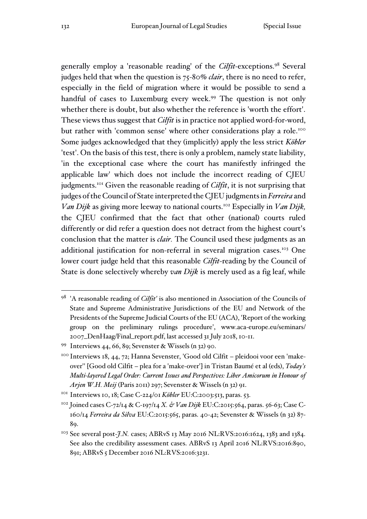generally employ a 'reasonable reading' of the *Cilfit-*exceptions.<sup>98</sup> Several judges held that when the question is 75-80% *clair*, there is no need to refer, especially in the field of migration where it would be possible to send a handful of cases to Luxemburg every week.<sup>99</sup> The question is not only whether there is doubt, but also whether the reference is 'worth the effort'. These views thus suggest that *Cilfit* is in practice not applied word-for-word, but rather with 'common sense' where other considerations play a role.<sup>100</sup> Some judges acknowledged that they (implicitly) apply the less strict *Köbler*  'test'. On the basis of this test, there is only a problem, namely state liability, 'in the exceptional case where the court has manifestly infringed the applicable law' which does not include the incorrect reading of CJEU judgments.<sup>101</sup> Given the reasonable reading of *Cilfit*, it is not surprising that judges of the Council of State interpreted the CJEU judgments in *Ferreira* and *Van Dijk* as giving more leeway to national courts.<sup>102</sup> Especially in *Van Dijk*, the CJEU confirmed that the fact that other (national) courts ruled differently or did refer a question does not detract from the highest court's conclusion that the matter is *clair.* The Council used these judgments as an additional justification for non-referral in several migration cases.<sup>103</sup> One lower court judge held that this reasonable *Cilfit*-reading by the Council of State is done selectively whereby *van Dijk* is merely used as a fig leaf, while

<sup>98</sup> 'A reasonable reading of *Cilfit'* is also mentioned in Association of the Councils of State and Supreme Administrative Jurisdictions of the EU and Network of the Presidents of the Supreme Judicial Courts of the EU (ACA), 'Report of the working group on the preliminary rulings procedure', www.aca-europe.eu/seminars/ 2007\_DenHaag/Final\_report.pdf, last accessed 31 July 2018, 10-11.

<sup>99</sup> Interviews 44, 66, 89; Sevenster & Wissels (n 32) 90.

<sup>&</sup>lt;sup>100</sup> Interviews 18, 44, 72; Hanna Sevenster, 'Good old Cilfit – pleidooi voor een 'makeover'' [Good old Cilfit – plea for a 'make-over'] in Tristan Baumé et al (eds), *Today's Multi-layered Legal Order: Current Issues and Perspectives: Liber Amicorum in Honour of Arjen W.H. Meij* (Paris 2011) 297; Sevenster & Wissels (n 32) 91.

<sup>101</sup> Interviews 10, 18; Case C-224/01 *Köbler* EU:C:2003:513, paras. 53.

<sup>102</sup> Joined cases C-72/14 & C-197/14 *X. & Van Dijk* EU:C:2015:564, paras. 56-63; Case C-160/14 *Ferreira da Silva* EU:C:2015:565, paras. 40-42; Sevenster & Wissels (n 32) 87- 89.

<sup>&</sup>lt;sup>103</sup> See several post-*f.N.* cases; ABRvS 13 May 2016 NL:RVS:2016:1624, 1383 and 1384. See also the credibility assessment cases. ABRvS 13 April 2016 NL:RVS:2016:890, 891; ABRvS 5 December 2016 NL:RVS:2016:3231.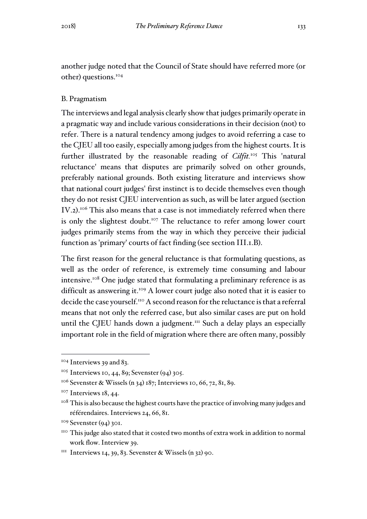another judge noted that the Council of State should have referred more (or other) questions.<sup>104</sup>

#### B. Pragmatism

The interviews and legal analysis clearly show that judges primarily operate in a pragmatic way and include various considerations in their decision (not) to refer. There is a natural tendency among judges to avoid referring a case to the CJEU all too easily, especially among judges from the highest courts. It is further illustrated by the reasonable reading of *Cilfit.*<sup>105</sup> This 'natural reluctance' means that disputes are primarily solved on other grounds, preferably national grounds. Both existing literature and interviews show that national court judges' first instinct is to decide themselves even though they do not resist CJEU intervention as such, as will be later argued (section IV.2).<sup>106</sup> This also means that a case is not immediately referred when there is only the slightest doubt.<sup>107</sup> The reluctance to refer among lower court judges primarily stems from the way in which they perceive their judicial function as 'primary' courts of fact finding (see section III.1.B).

The first reason for the general reluctance is that formulating questions, as well as the order of reference, is extremely time consuming and labour intensive.<sup>108</sup> One judge stated that formulating a preliminary reference is as difficult as answering it.<sup>109</sup> A lower court judge also noted that it is easier to decide the case yourself.<sup>110</sup> A second reason for the reluctance is that a referral means that not only the referred case, but also similar cases are put on hold until the CJEU hands down a judgment.<sup>111</sup> Such a delay plays an especially important role in the field of migration where there are often many, possibly

<sup>&</sup>lt;sup>104</sup> Interviews 39 and 83.

 $105$  Interviews 10, 44, 89; Sevenster (94) 305.

<sup>&</sup>lt;sup>106</sup> Sevenster & Wissels (n 34) 187; Interviews 10, 66, 72, 81, 89.

<sup>&</sup>lt;sup>107</sup> Interviews 18, 44.

 $108$  This is also because the highest courts have the practice of involving many judges and référendaires. Interviews 24, 66, 81.

<sup>&</sup>lt;sup>109</sup> Sevenster (94) 301.

<sup>110</sup> This judge also stated that it costed two months of extra work in addition to normal work flow. Interview 39.

<sup>&</sup>lt;sup>III</sup> Interviews 14, 39, 83. Sevenster & Wissels (n 32) 90.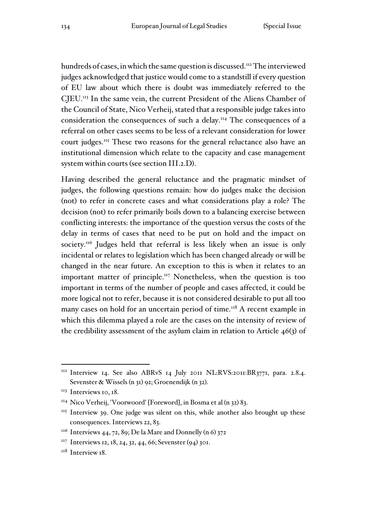hundreds of cases, in which the same question is discussed.<sup>112</sup> The interviewed judges acknowledged that justice would come to a standstill if every question of EU law about which there is doubt was immediately referred to the CJEU.<sup>113</sup> In the same vein, the current President of the Aliens Chamber of the Council of State, Nico Verheij, stated that a responsible judge takes into consideration the consequences of such a delay.<sup>114</sup> The consequences of a referral on other cases seems to be less of a relevant consideration for lower court judges.<sup>115</sup> These two reasons for the general reluctance also have an institutional dimension which relate to the capacity and case management system within courts (see section III.2.D).

Having described the general reluctance and the pragmatic mindset of judges, the following questions remain: how do judges make the decision (not) to refer in concrete cases and what considerations play a role? The decision (not) to refer primarily boils down to a balancing exercise between conflicting interests: the importance of the question versus the costs of the delay in terms of cases that need to be put on hold and the impact on society.<sup>116</sup> Judges held that referral is less likely when an issue is only incidental or relates to legislation which has been changed already or will be changed in the near future. An exception to this is when it relates to an important matter of principle.<sup>117</sup> Nonetheless, when the question is too important in terms of the number of people and cases affected, it could be more logical not to refer, because it is not considered desirable to put all too many cases on hold for an uncertain period of time. $118$  A recent example in which this dilemma played a role are the cases on the intensity of review of the credibility assessment of the asylum claim in relation to Article 46(3) of

<sup>&</sup>lt;sup>112</sup> Interview 14. See also ABRvS 14 July 2011 NL:RVS:2011:BR3771, para. 2.8.4. Sevenster & Wissels (n 31) 92; Groenendijk (n 32).

<sup>&</sup>lt;sup>113</sup> Interviews 10, 18.

<sup>114</sup> Nico Verheij, 'Voorwoord' [Foreword], in Bosma et al (n 32) 83.

 $115$  Interview 39. One judge was silent on this, while another also brought up these consequences. Interviews 22, 83.

 $116$  Interviews 44, 72, 89; De la Mare and Donnelly (n 6) 372

 $117$  Interviews 12, 18, 24, 32, 44, 66; Sevenster (94) 301.

 $118$  Interview 18.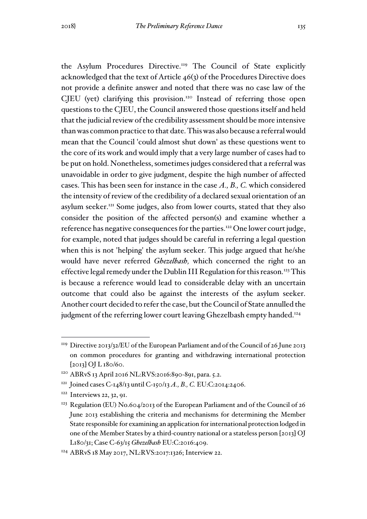the Asylum Procedures Directive.<sup>119</sup> The Council of State explicitly acknowledged that the text of Article 46(3) of the Procedures Directive does not provide a definite answer and noted that there was no case law of the CJEU (yet) clarifying this provision. <sup>120</sup> Instead of referring those open questions to the CJEU, the Council answered those questions itself and held that the judicial review of the credibility assessment should be more intensive than was common practice to that date. This was also because a referral would mean that the Council 'could almost shut down' as these questions went to the core of its work and would imply that a very large number of cases had to be put on hold. Nonetheless, sometimes judges considered that a referral was unavoidable in order to give judgment, despite the high number of affected cases. This has been seen for instance in the case *A., B., C.* which considered the intensity of review of the credibility of a declared sexual orientation of an asylum seeker.<sup>121</sup> Some judges, also from lower courts, stated that they also consider the position of the affected person(s) and examine whether a reference has negative consequences for the parties.<sup>122</sup> One lower court judge, for example, noted that judges should be careful in referring a legal question when this is not 'helping' the asylum seeker. This judge argued that he/she would have never referred *Ghezelbash,* which concerned the right to an effective legal remedy under the Dublin III Regulation for this reason.<sup>123</sup> This is because a reference would lead to considerable delay with an uncertain outcome that could also be against the interests of the asylum seeker. Another court decided to refer the case, but the Council of State annulled the judgment of the referring lower court leaving Ghezelbash empty handed.<sup>124</sup>

<sup>&</sup>lt;sup>119</sup> Directive 2013/32/EU of the European Parliament and of the Council of 26 June 2013 on common procedures for granting and withdrawing international protection [2013] OJ L 180/60.

<sup>120</sup> ABRvS 13 April 2016 NL:RVS:2016:890-891, para. 5.2.

<sup>121</sup> Joined cases C-148/13 until C-150/13 *A., B., C.* EU:C:2014:2406.

<sup>&</sup>lt;sup>122</sup> Interviews 22, 32, 91.

<sup>&</sup>lt;sup>123</sup> Regulation (EU) No.604/2013 of the European Parliament and of the Council of 26 June 2013 establishing the criteria and mechanisms for determining the Member State responsible for examining an application for international protection lodged in one of the Member States by a third-country national or a stateless person [2013] OJ L180/31; Case C-63/15 *Ghezelbash* EU:C:2016:409.

<sup>124</sup> ABRvS 18 May 2017, NL:RVS:2017:1326; Interview 22.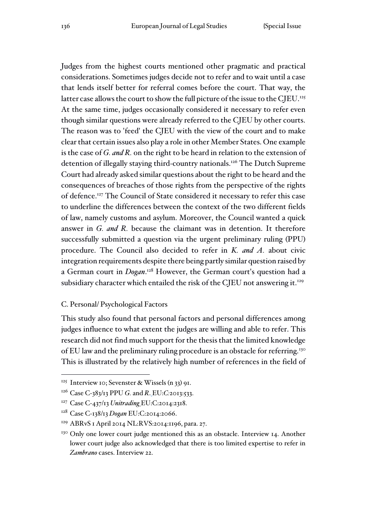Judges from the highest courts mentioned other pragmatic and practical considerations. Sometimes judges decide not to refer and to wait until a case that lends itself better for referral comes before the court. That way, the latter case allows the court to show the full picture of the issue to the CJEU.<sup>125</sup> At the same time, judges occasionally considered it necessary to refer even though similar questions were already referred to the CJEU by other courts. The reason was to 'feed' the CJEU with the view of the court and to make clear that certain issues also play a role in other Member States. One example is the case of *G. and R.* on the right to be heard in relation to the extension of detention of illegally staying third-country nationals.<sup>126</sup> The Dutch Supreme Court had already asked similar questions about the right to be heard and the consequences of breaches of those rights from the perspective of the rights of defence.<sup>127</sup> The Council of State considered it necessary to refer this case to underline the differences between the context of the two different fields of law, namely customs and asylum. Moreover, the Council wanted a quick answer in *G. and R.* because the claimant was in detention. It therefore successfully submitted a question via the urgent preliminary ruling (PPU) procedure. The Council also decided to refer in *K. and A.* about civic integration requirements despite there being partly similar question raised by a German court in *Dogan*. <sup>128</sup> However, the German court's question had a subsidiary character which entailed the risk of the CJEU not answering it.<sup>129</sup>

#### C. Personal/ Psychological Factors

This study also found that personal factors and personal differences among judges influence to what extent the judges are willing and able to refer. This research did not find much support for the thesis that the limited knowledge of EU law and the preliminary ruling procedure is an obstacle for referring.<sup>130</sup> This is illustrated by the relatively high number of references in the field of

<sup>&</sup>lt;sup>125</sup> Interview 10; Sevenster & Wissels (n 33) 91.

<sup>126</sup> Case C-383/13 PPU *G.* and *R*. EU:*C:*2013:533.

<sup>127</sup> Case C-437/13 *Unitrading* EU:C:2014:2318.

<sup>128</sup> Case C-138/13 *Dogan* EU:C:2014:2066.

<sup>129</sup> ABRvS 1 April 2014 NL:RVS:2014:1196, para. 27.

<sup>&</sup>lt;sup>130</sup> Only one lower court judge mentioned this as an obstacle. Interview 14. Another lower court judge also acknowledged that there is too limited expertise to refer in *Zambrano* cases. Interview 22.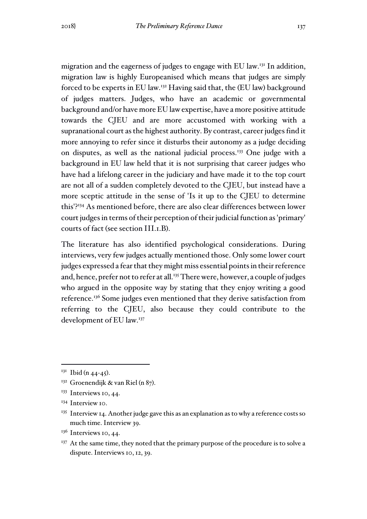migration and the eagerness of judges to engage with EU law.<sup>131</sup> In addition, migration law is highly Europeanised which means that judges are simply forced to be experts in EU law.<sup>132</sup> Having said that, the (EU law) background of judges matters. Judges, who have an academic or governmental background and/or have more EU law expertise, have a more positive attitude towards the CJEU and are more accustomed with working with a supranational court as the highest authority. By contrast, career judges find it more annoying to refer since it disturbs their autonomy as a judge deciding on disputes, as well as the national judicial process.<sup>133</sup> One judge with a background in EU law held that it is not surprising that career judges who have had a lifelong career in the judiciary and have made it to the top court are not all of a sudden completely devoted to the CJEU, but instead have a more sceptic attitude in the sense of 'Is it up to the CJEU to determine this'?<sup>134</sup> As mentioned before, there are also clear differences between lower court judges in terms of their perception of their judicial function as 'primary' courts of fact (see section III.1.B).

The literature has also identified psychological considerations. During interviews, very few judges actually mentioned those. Only some lower court judges expressed a fear that they might miss essential points in their reference and, hence, prefer not to refer at all.<sup>135</sup> There were, however, a couple of judges who argued in the opposite way by stating that they enjoy writing a good reference.<sup>136</sup> Some judges even mentioned that they derive satisfaction from referring to the CJEU, also because they could contribute to the development of EU law.<sup>137</sup>

 $131$  Ibid (n 44-45).

<sup>&</sup>lt;sup>132</sup> Groenendijk & van Riel (n 87).

 $133$  Interviews 10, 44.

<sup>&</sup>lt;sup>134</sup> Interview 10.

<sup>&</sup>lt;sup>135</sup> Interview 14. Another judge gave this as an explanation as to why a reference costs so much time. Interview 39.

<sup>&</sup>lt;sup>136</sup> Interviews 10, 44.

 $137$  At the same time, they noted that the primary purpose of the procedure is to solve a dispute. Interviews 10, 12, 39.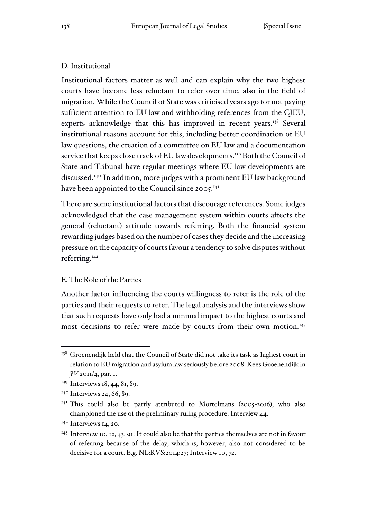#### D. Institutional

Institutional factors matter as well and can explain why the two highest courts have become less reluctant to refer over time, also in the field of migration. While the Council of State was criticised years ago for not paying sufficient attention to EU law and withholding references from the CJEU, experts acknowledge that this has improved in recent years.<sup>138</sup> Several institutional reasons account for this, including better coordination of EU law questions, the creation of a committee on EU law and a documentation service that keeps close track of EU law developments.<sup>139</sup> Both the Council of State and Tribunal have regular meetings where EU law developments are discussed.<sup>140</sup> In addition, more judges with a prominent EU law background have been appointed to the Council since 2005.<sup>141</sup>

There are some institutional factors that discourage references. Some judges acknowledged that the case management system within courts affects the general (reluctant) attitude towards referring. Both the financial system rewarding judges based on the number of cases they decide and the increasing pressure on the capacity of courts favour a tendency to solve disputes without referring.<sup>142</sup>

#### E. The Role of the Parties

Another factor influencing the courts willingness to refer is the role of the parties and their requests to refer. The legal analysis and the interviews show that such requests have only had a minimal impact to the highest courts and most decisions to refer were made by courts from their own motion.<sup>143</sup>

 $138$  Groenendijk held that the Council of State did not take its task as highest court in relation to EU migration and asylum law seriously before 2008. Kees Groenendijk in *JV* 2011/4, par. 1.

<sup>&</sup>lt;sup>139</sup> Interviews 18, 44, 81, 89.

 $140$  Interviews 24, 66, 89.

 $141$  This could also be partly attributed to Mortelmans (2005-2016), who also championed the use of the preliminary ruling procedure. Interview 44.

<sup>&</sup>lt;sup>142</sup> Interviews 14, 20.

 $143$  Interview 10, 12, 43, 91. It could also be that the parties themselves are not in favour of referring because of the delay, which is, however, also not considered to be decisive for a court. E.g. NL:RVS:2014:27; Interview 10, 72.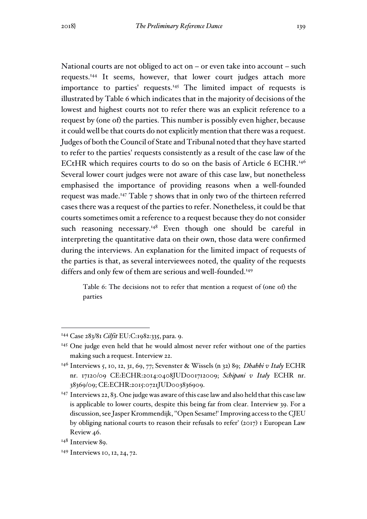National courts are not obliged to act on – or even take into account – such requests.<sup>144</sup> It seems, however, that lower court judges attach more importance to parties' requests.<sup>145</sup> The limited impact of requests is illustrated by Table 6 which indicates that in the majority of decisions of the lowest and highest courts not to refer there was an explicit reference to a request by (one of) the parties. This number is possibly even higher, because it could well be that courts do not explicitly mention that there was a request. Judges of both the Council of State and Tribunal noted that they have started to refer to the parties' requests consistently as a result of the case law of the ECtHR which requires courts to do so on the basis of Article 6 ECHR.<sup>146</sup> Several lower court judges were not aware of this case law, but nonetheless emphasised the importance of providing reasons when a well-founded request was made.<sup>147</sup> Table 7 shows that in only two of the thirteen referred cases there was a request of the parties to refer. Nonetheless, it could be that courts sometimes omit a reference to a request because they do not consider such reasoning necessary.<sup>148</sup> Even though one should be careful in interpreting the quantitative data on their own, those data were confirmed during the interviews. An explanation for the limited impact of requests of the parties is that, as several interviewees noted, the quality of the requests differs and only few of them are serious and well-founded.<sup>149</sup>

Table 6: The decisions not to refer that mention a request of (one of) the parties

<sup>144</sup> Case 283/81 *Cilfit* EU:C:1982:335, para. 9.

<sup>&</sup>lt;sup>145</sup> One judge even held that he would almost never refer without one of the parties making such a request. Interview 22.

<sup>146</sup> Interviews 5, 10, 12, 31, 69, 77; Sevenster & Wissels (n 32) 89; *Dhahbi v Italy* ECHR nr. 17120/09 CE:ECHR:2014:0408JUD001712009; *Schipani v Italy* ECHR nr. 38369/09; CE:ECHR:2015:0721JUD003836909.

 $147$  Interviews 22, 83. One judge was aware of this case law and also held that this case law is applicable to lower courts, despite this being far from clear. Interview 39. For a discussion, see Jasper Krommendijk, ''Open Sesame!' Improving access to the CJEU by obliging national courts to reason their refusals to refer' (2017) 1 European Law Review 46.

<sup>&</sup>lt;sup>148</sup> Interview 89.

<sup>149</sup> Interviews 10, 12, 24, 72.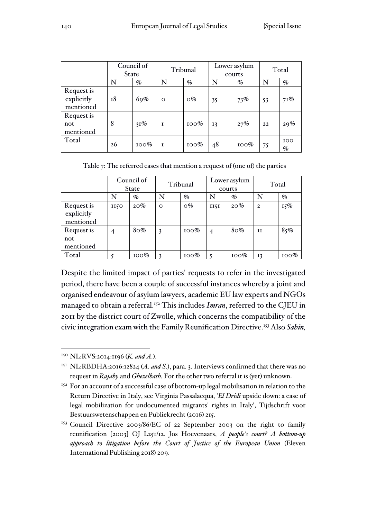|                                       | State | Council of |         | Lower asylum<br>Tribunal<br>courts |    | Total   |    |             |
|---------------------------------------|-------|------------|---------|------------------------------------|----|---------|----|-------------|
|                                       | N     | $\%$       | N       | $\%$                               | N  | $\%$    | N  | $\%$        |
| Request is<br>explicitly<br>mentioned | 18    | 69%        | $\circ$ | $\circ$ %                          | 35 | 73%     | 53 | 71%         |
| Request is<br>not<br>mentioned        | 8     | $31\%$     | 1       | $100\%$                            | 13 | 27%     | 22 | 29%         |
| Total                                 | 26    | $100\%$    |         | $100\%$                            | 48 | $100\%$ | 75 | 100<br>$\%$ |

Table 7: The referred cases that mention a request of (one of) the parties

|                                       | Council of<br>State |         | Tribunal |           | Lower asylum<br>courts |                  | Total          |         |
|---------------------------------------|---------------------|---------|----------|-----------|------------------------|------------------|----------------|---------|
|                                       | N                   | $\%$    | N        | $\%$      | N                      | $\%$             | N              | $\%$    |
| Request is<br>explicitly<br>mentioned | II50                | $20\%$  | $\circ$  | $\circ$ % | II5I                   | $20\%$           | $\overline{2}$ | $15\%$  |
| Request is<br>not<br>mentioned        | 4                   | $80$ %  | 3        | $100\%$   | $\overline{4}$         | 8 <sub>0</sub> % | II             | 85%     |
| Total                                 |                     | $100\%$ |          | $100\%$   |                        | $100\%$          | 13             | $100\%$ |

Despite the limited impact of parties' requests to refer in the investigated period, there have been a couple of successful instances whereby a joint and organised endeavour of asylum lawyers, academic EU law experts and NGOs managed to obtain a referral.<sup>152</sup> This includes *Imran*, referred to the CJEU in 2011 by the district court of Zwolle, which concerns the compatibility of the civic integration exam with the Family Reunification Directive.<sup>153</sup> Also *Sahin,* 

<sup>150</sup> NL:RVS:2014:1196 (*K. and A.*).

<sup>151</sup> NL:RBDHA:2016:12824 (*A. and S.*), para. 3. Interviews confirmed that there was no request in *Rajaby* and *Ghezelbash.* For the other two referral it is (yet) unknown.

 $152$  For an account of a successful case of bottom-up legal mobilisation in relation to the Return Directive in Italy, see Virginia Passalacqua, '*El Dridi* upside down: a case of legal mobilization for undocumented migrants' rights in Italy', Tijdschrift voor Bestuurswetenschappen en Publiekrecht (2016) 215.

<sup>153</sup> Council Directive 2003/86/EC of 22 September 2003 on the right to family reunification [2003] OJ L251/12. Jos Hoevenaars, *A people's court? A bottom-up approach to litigation before the Court of Justice of the European Union* (Eleven International Publishing 2018) 209.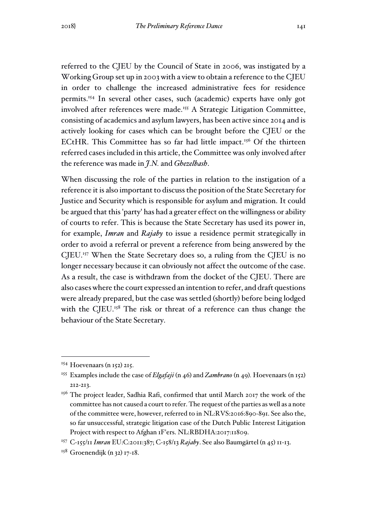referred to the CJEU by the Council of State in 2006, was instigated by a Working Group set up in 2003 with a view to obtain a reference to the CJEU in order to challenge the increased administrative fees for residence permits.<sup>154</sup> In several other cases, such (academic) experts have only got involved after references were made.<sup>155</sup> A Strategic Litigation Committee, consisting of academics and asylum lawyers, has been active since 2014 and is actively looking for cases which can be brought before the CJEU or the ECtHR. This Committee has so far had little impact.<sup>156</sup> Of the thirteen referred cases included in this article, the Committee was only involved after the reference was made in *J.N.* and *Ghezelbash*.

When discussing the role of the parties in relation to the instigation of a reference it is also important to discuss the position of the State Secretary for Justice and Security which is responsible for asylum and migration. It could be argued that this 'party' has had a greater effect on the willingness or ability of courts to refer. This is because the State Secretary has used its power in, for example, *Imran* and *Rajaby* to issue a residence permit strategically in order to avoid a referral or prevent a reference from being answered by the CJEU.<sup>157</sup> When the State Secretary does so, a ruling from the CJEU is no longer necessary because it can obviously not affect the outcome of the case. As a result, the case is withdrawn from the docket of the CJEU. There are also cases where the court expressed an intention to refer, and draft questions were already prepared, but the case was settled (shortly) before being lodged with the CJEU.<sup>158</sup> The risk or threat of a reference can thus change the behaviour of the State Secretary.

<sup>154</sup> Hoevenaars (n 152) 215.

<sup>155</sup> Examples include the case of *Elgafaji* (n 46) and *Zambrano* (n 49)*.* Hoevenaars (n 152) 212-213.

<sup>&</sup>lt;sup>156</sup> The project leader, Sadhia Rafi, confirmed that until March 2017 the work of the committee has not caused a court to refer. The request of the parties as well as a note of the committee were, however, referred to in NL:RVS:2016:890-891. See also the, so far unsuccessful, strategic litigation case of the Dutch Public Interest Litigation Project with respect to Afghan 1F'ers. NL:RBDHA:2017:11809.

<sup>157</sup> C-155/11 *Imran* EU:C:2011:387; C-158/13 *Rajaby*. See also Baumgärtel (n 45) 11-13.

 $158$  Groenendijk (n 32) 17-18.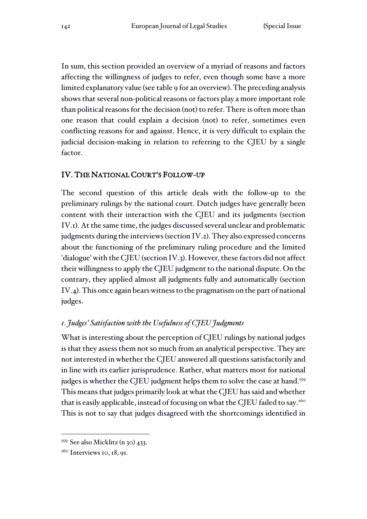In sum, this section provided an overview of a myriad of reasons and factors affecting the willingness of judges to refer, even though some have a more limited explanatory value (see table 9 for an overview). The preceding analysis shows that several non-political reasons or factors play a more important role than political reasons for the decision (not) to refer. There is often more than one reason that could explain a decision (not) to refer, sometimes even conflicting reasons for and against. Hence, it is very difficult to explain the judicial decision-making in relation to referring to the CJEU by a single factor.

# IV. THE NATIONAL COURT'S FOLLOW-UP

The second question of this article deals with the follow-up to the preliminary rulings by the national court. Dutch judges have generally been content with their interaction with the CJEU and its judgments (section IV.1). At the same time, the judges discussed several unclear and problematic judgments during the interviews (section IV.2). They also expressed concerns about the functioning of the preliminary ruling procedure and the limited 'dialogue' with the CJEU (section IV.3). However, these factors did not affect their willingness to apply the CJEU judgment to the national dispute. On the contrary, they applied almost all judgments fully and automatically (section IV.4). This once again bears witness to the pragmatism on the part of national judges.

# *1. Judges' Satisfaction with the Usefulness of CJEU Judgments*

What is interesting about the perception of CJEU rulings by national judges is that they assess them not so much from an analytical perspective. They are not interested in whether the CJEU answered all questions satisfactorily and in line with its earlier jurisprudence. Rather, what matters most for national judges is whether the CJEU judgment helps them to solve the case at hand.<sup>159</sup> This means that judges primarily look at what the CJEU has said and whether that is easily applicable, instead of focusing on what the CJEU failed to say.<sup>160</sup> This is not to say that judges disagreed with the shortcomings identified in

 $159$  See also Micklitz (n 30) 433.

 $160$  Interviews 10, 18, 91.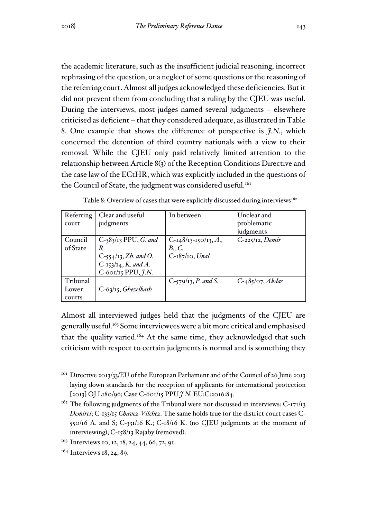the academic literature, such as the insufficient judicial reasoning, incorrect rephrasing of the question, or a neglect of some questions or the reasoning of the referring court. Almost all judges acknowledged these deficiencies. But it did not prevent them from concluding that a ruling by the CJEU was useful. During the interviews, most judges named several judgments – elsewhere criticised as deficient – that they considered adequate, as illustrated in Table 8. One example that shows the difference of perspective is *J.N.*, which concerned the detention of third country nationals with a view to their removal*.* While the CJEU only paid relatively limited attention to the relationship between Article 8(3) of the Reception Conditions Directive and the case law of the ECtHR, which was explicitly included in the questions of the Council of State, the judgment was considered useful.<sup>161</sup>

| Referring | Clear and useful                      | In between                    | Unclear and        |
|-----------|---------------------------------------|-------------------------------|--------------------|
| court     | judgments                             |                               | problematic        |
|           |                                       |                               | judgments          |
| Council   | $C$ -383/13 PPU, G. and               | $C$ -148/13-150/13, A.,       | $C$ -225/12, Demir |
| of State  | R.                                    | $B_{\cdot}$ , C.              |                    |
|           | $C$ -554/13, Zh. and O.               | $C$ -187/10, Unal             |                    |
|           | $C$ -153/14, <i>K. and A.</i>         |                               |                    |
|           | $C$ -601/15 PPU, $\tilde{\jmath}$ .N. |                               |                    |
| Tribunal  |                                       | $C$ -579/13, <i>P. and S.</i> | $C$ -485/07, Akdas |
| Lower     | $C-63/15$ , Ghezelbash                |                               |                    |
| courts    |                                       |                               |                    |

Table 8: Overview of cases that were explicitly discussed during interviews<sup>162</sup>

Almost all interviewed judges held that the judgments of the CJEU are generally useful.<sup>163</sup> Some interviewees were a bit more critical and emphasised that the quality varied.<sup>164</sup> At the same time, they acknowledged that such criticism with respect to certain judgments is normal and is something they

<sup>&</sup>lt;sup>161</sup> Directive 2013/33/EU of the European Parliament and of the Council of 26 June 2013 laying down standards for the reception of applicants for international protection [2013] OJ L180/96; Case C-601/15 PPU *J.N.* EU:C:2016:84.

 $162$  The following judgments of the Tribunal were not discussed in interviews: C-171/13 *Demirci*; C-133/15 *Chavez-Vilchez*. The same holds true for the district court cases C-550/16 A. and S; C-331/16 K.; C-18/16 K. (no CJEU judgments at the moment of interviewing); C-158/13 Rajaby (removed).

 $163$  Interviews 10, 12, 18, 24, 44, 66, 72, 91.

 $164$  Interviews 18, 24, 89.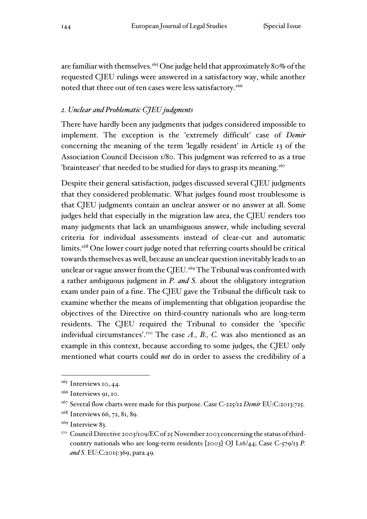are familiar with themselves.<sup>165</sup> One judge held that approximately 80% of the requested CJEU rulings were answered in a satisfactory way, while another noted that three out of ten cases were less satisfactory.<sup>166</sup>

## *2. Unclear and Problematic CJEU judgments*

There have hardly been any judgments that judges considered impossible to implement. The exception is the 'extremely difficult' case of *Demir* concerning the meaning of the term 'legally resident' in Article 13 of the Association Council Decision 1/80. This judgment was referred to as a true 'brainteaser' that needed to be studied for days to grasp its meaning.<sup>167</sup>

Despite their general satisfaction, judges discussed several CJEU judgments that they considered problematic. What judges found most troublesome is that CJEU judgments contain an unclear answer or no answer at all. Some judges held that especially in the migration law area, the CJEU renders too many judgments that lack an unambiguous answer, while including several criteria for individual assessments instead of clear-cut and automatic limits.<sup>168</sup> One lower court judge noted that referring courts should be critical towards themselves as well, because an unclear question inevitably leads to an unclear or vague answer from the CJEU.<sup>169</sup> The Tribunal was confronted with a rather ambiguous judgment in *P. and S.* about the obligatory integration exam under pain of a fine. The CJEU gave the Tribunal the difficult task to examine whether the means of implementing that obligation jeopardise the objectives of the Directive on third-country nationals who are long-term residents. The CJEU required the Tribunal to consider the 'specific individual circumstances'.<sup>170</sup> The case *A., B., C.* was also mentioned as an example in this context, because according to some judges, the CJEU only mentioned what courts could *not* do in order to assess the credibility of a

 $165$  Interviews 10, 44.

 $166$  Interviews 91, 10.

<sup>167</sup> Several flow charts were made for this purpose. Case C-225/12 *Demir* EU:C:2013:725.

 $168$  Interviews 66, 72, 81, 89.

 $169$  Interview 83.

<sup>&</sup>lt;sup>170</sup> Council Directive 2003/109/EC of 25 November 2003 concerning the status of thirdcountry nationals who are long-term residents [2003] OJ L16/44; Case C-579/13 *P. and S.* EU:C:2015:369, para 49*.*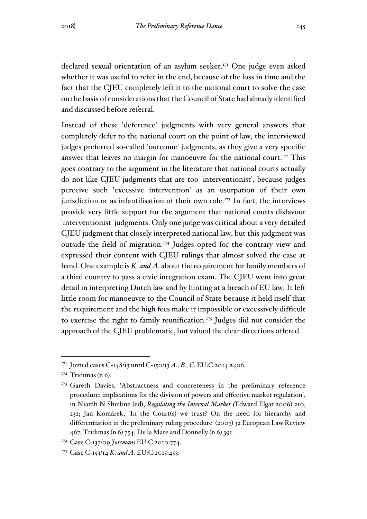declared sexual orientation of an asylum seeker.<sup>171</sup> One judge even asked whether it was useful to refer in the end, because of the loss in time and the fact that the CJEU completely left it to the national court to solve the case on the basis of considerations that the Council of State had already identified and discussed before referral.

Instead of these 'deference' judgments with very general answers that completely defer to the national court on the point of law, the interviewed judges preferred so-called 'outcome' judgments, as they give a very specific answer that leaves no margin for manoeuvre for the national court.<sup>172</sup> This goes contrary to the argument in the literature that national courts actually do not like CJEU judgments that are too 'interventionist', because judges perceive such 'excessive intervention' as an usurpation of their own jurisdiction or as infantilisation of their own role.<sup>173</sup> In fact, the interviews provide very little support for the argument that national courts disfavour 'interventionist' judgments. Only one judge was critical about a very detailed CJEU judgment that closely interpreted national law, but this judgment was outside the field of migration.<sup>174</sup> Judges opted for the contrary view and expressed their content with CJEU rulings that almost solved the case at hand. One example is *K. and A.* about the requirement for family members of a third country to pass a civic integration exam. The CJEU went into great detail in interpreting Dutch law and by hinting at a breach of EU law. It left little room for manoeuvre to the Council of State because it held itself that the requirement and the high fees make it impossible or excessively difficult to exercise the right to family reunification.<sup>175</sup> Judges did not consider the approach of the CJEU problematic, but valued the clear directions offered.

<sup>171</sup> Joined cases C-148/13 until C-150/13 *A., B., C.* EU:C:2014:2406.

 $172$  Tridimas (n 6).

<sup>&</sup>lt;sup>173</sup> Gareth Davies, 'Abstractness and concreteness in the preliminary reference procedure: implications for the division of powers and effective market regulation', in Niamh N Shuibne (ed), *Regulating the Internal Market (*Edward Elgar 2006) 210, 232; Jan Komárek, 'In the Court(s) we trust? On the need for hierarchy and differentiation in the preliminary ruling procedure' (2007) 32 European Law Review 467; Tridimas (n 6) 754; De la Mare and Donnelly (n 6) 391.

<sup>174</sup> Case C-137/09 *Josemans* EU:C:2010:774.

<sup>175</sup> Case C-153/14 *K. and A.* EU:C:2015:453.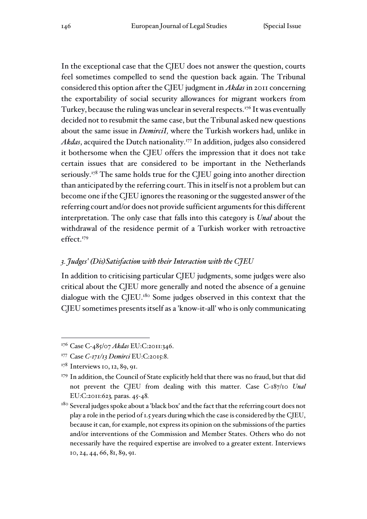In the exceptional case that the CJEU does not answer the question, courts feel sometimes compelled to send the question back again. The Tribunal considered this option after the CJEU judgment in *Akdas* in 2011 concerning the exportability of social security allowances for migrant workers from Turkey, because the ruling was unclear in several respects.<sup>176</sup> It was eventually decided not to resubmit the same case, but the Tribunal asked new questions about the same issue in *DemirciI,* where the Turkish workers had, unlike in *Akdas*, acquired the Dutch nationality.<sup>177</sup> In addition, judges also considered it bothersome when the CJEU offers the impression that it does not take certain issues that are considered to be important in the Netherlands seriously.<sup>178</sup> The same holds true for the CJEU going into another direction than anticipated by the referring court. This in itself is not a problem but can become one if the CJEU ignores the reasoning or the suggested answer of the referring court and/or does not provide sufficient arguments for this different interpretation. The only case that falls into this category is *Unal* about the withdrawal of the residence permit of a Turkish worker with retroactive effect.<sup>179</sup>

## *3. Judges' (Dis)Satisfaction with their Interaction with the CJEU*

In addition to criticising particular CJEU judgments, some judges were also critical about the CJEU more generally and noted the absence of a genuine dialogue with the CJEU.<sup>180</sup> Some judges observed in this context that the CJEU sometimes presents itself as a 'know-it-all' who is only communicating

<sup>176</sup> Case C-485/07 *Akdas* EU:C:2011:346.

<sup>177</sup> Case *C*-*171/13 Demirci* EU:C:2015:8.

 $178$  Interviews 10, 12, 89, 91.

<sup>&</sup>lt;sup>179</sup> In addition, the Council of State explicitly held that there was no fraud, but that did not prevent the CJEU from dealing with this matter. Case C-187/10 *Unal* EU:C:2011:623*,* paras. 45-48*.*

<sup>180</sup> Several judges spoke about a 'black box' and the fact that the referring court does not play a role in the period of 1.5 years during which the case is considered by the CJEU, because it can, for example, not express its opinion on the submissions of the parties and/or interventions of the Commission and Member States. Others who do not necessarily have the required expertise are involved to a greater extent. Interviews 10, 24, 44, 66, 81, 89, 91.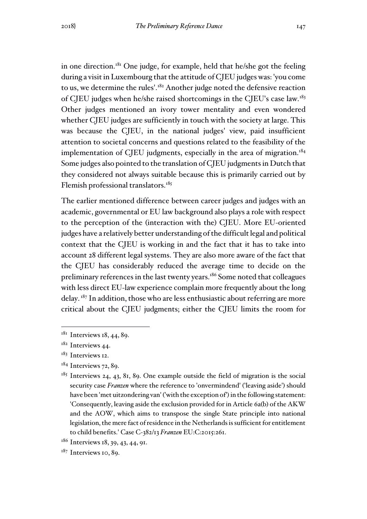in one direction.<sup>181</sup> One judge, for example, held that he/she got the feeling during a visit in Luxembourg that the attitude of CJEU judges was: 'you come to us, we determine the rules'.<sup>182</sup> Another judge noted the defensive reaction of CJEU judges when he/she raised shortcomings in the CJEU's case law.<sup>183</sup> Other judges mentioned an ivory tower mentality and even wondered whether CJEU judges are sufficiently in touch with the society at large. This was because the CJEU, in the national judges' view, paid insufficient attention to societal concerns and questions related to the feasibility of the implementation of CJEU judgments, especially in the area of migration. $184$ Some judges also pointed to the translation of CJEU judgments in Dutch that they considered not always suitable because this is primarily carried out by Flemish professional translators.<sup>185</sup>

The earlier mentioned difference between career judges and judges with an academic, governmental or EU law background also plays a role with respect to the perception of the (interaction with the) CJEU. More EU-oriented judges have a relatively better understanding of the difficult legal and political context that the CJEU is working in and the fact that it has to take into account 28 different legal systems. They are also more aware of the fact that the CJEU has considerably reduced the average time to decide on the preliminary references in the last twenty years.<sup>186</sup> Some noted that colleagues with less direct EU-law experience complain more frequently about the long delay. <sup>187</sup> In addition, those who are less enthusiastic about referring are more critical about the CJEU judgments; either the CJEU limits the room for

 $\overline{a}$ 

 $184$  Interviews 72, 89.

 $181$  Interviews 18, 44, 89.

 $182$  Interviews 44.

 $183$  Interviews 12.

 $185$  Interviews 24, 43, 81, 89. One example outside the field of migration is the social security case *Franzen* where the reference to 'onvermindend' ('leaving aside') should have been 'met uitzondering van' ('with the exception of') in the following statement: 'Consequently, leaving aside the exclusion provided for in Article 6a(b) of the AKW and the AOW, which aims to transpose the single State principle into national legislation, the mere fact of residence in the Netherlands is sufficient for entitlement to child benefits.' Case C-382/13 *Franzen* EU:C:2015:261.

 $186$  Interviews 18, 39, 43, 44, 91.

 $187$  Interviews 10, 89.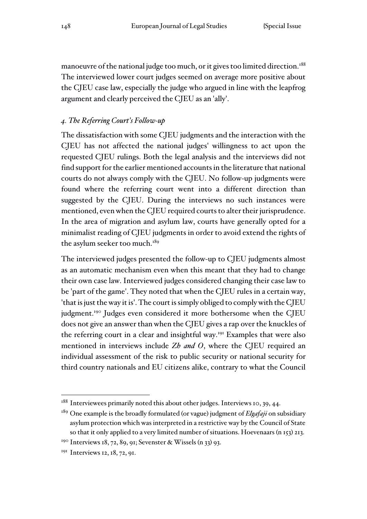manoeuvre of the national judge too much, or it gives too limited direction.<sup>188</sup> The interviewed lower court judges seemed on average more positive about the CJEU case law, especially the judge who argued in line with the leapfrog argument and clearly perceived the CJEU as an 'ally'.

## *4. The Referring Court's Follow-up*

The dissatisfaction with some CJEU judgments and the interaction with the CJEU has not affected the national judges' willingness to act upon the requested CJEU rulings. Both the legal analysis and the interviews did not find support for the earlier mentioned accounts in the literature that national courts do not always comply with the CJEU. No follow-up judgments were found where the referring court went into a different direction than suggested by the CJEU. During the interviews no such instances were mentioned, even when the CJEU required courts to alter their jurisprudence. In the area of migration and asylum law, courts have generally opted for a minimalist reading of CJEU judgments in order to avoid extend the rights of the asylum seeker too much.<sup>189</sup>

The interviewed judges presented the follow-up to CJEU judgments almost as an automatic mechanism even when this meant that they had to change their own case law. Interviewed judges considered changing their case law to be 'part of the game'. They noted that when the CJEU rules in a certain way, 'that is just the way it is'. The court is simply obliged to comply with the CJEU judgment.<sup>190</sup> Judges even considered it more bothersome when the CJEU does not give an answer than when the CJEU gives a rap over the knuckles of the referring court in a clear and insightful way.<sup>191</sup> Examples that were also mentioned in interviews include *Zh and O*, where the CJEU required an individual assessment of the risk to public security or national security for third country nationals and EU citizens alike, contrary to what the Council

 $188$  Interviewees primarily noted this about other judges. Interviews 10, 39, 44.

<sup>189</sup> One example is the broadly formulated (or vague) judgment of *Elgafaji* on subsidiary asylum protection which was interpreted in a restrictive way by the Council of State so that it only applied to a very limited number of situations. Hoevenaars (n 153) 213.

<sup>&</sup>lt;sup>190</sup> Interviews 18, 72, 89, 91; Sevenster & Wissels (n 33) 93.

 $191$  Interviews 12, 18, 72, 91.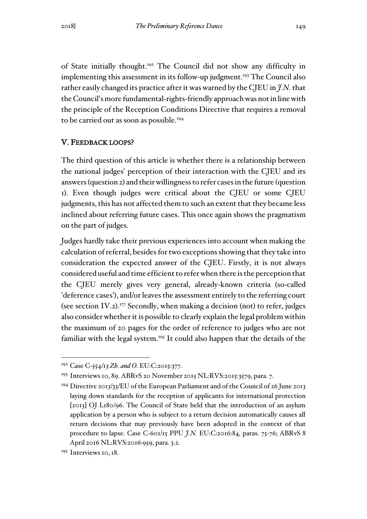of State initially thought.<sup>192</sup> The Council did not show any difficulty in implementing this assessment in its follow-up judgment.<sup>193</sup> The Council also rather easily changed its practice after it was warned by the CJEU in *J.N.* that the Council's more fundamental-rights-friendly approach was not in line with the principle of the Reception Conditions Directive that requires a removal to be carried out as soon as possible.<sup>194</sup>

# V. FEEDBACK LOOPS?

The third question of this article is whether there is a relationship between the national judges' perception of their interaction with the CJEU and its answers (question 2) and their willingness to refer cases in the future (question 1). Even though judges were critical about the CJEU or some CJEU judgments, this has not affected them to such an extent that they became less inclined about referring future cases. This once again shows the pragmatism on the part of judges.

Judges hardly take their previous experiences into account when making the calculation of referral, besides for two exceptions showing that they take into consideration the expected answer of the CJEU. Firstly, it is not always considered useful and time efficient to refer when there is the perception that the CJEU merely gives very general, already-known criteria (so-called 'deference cases'), and/or leaves the assessment entirely to the referring court (see section IV.2).<sup>177</sup> Secondly, when making a decision (not) to refer, judges also consider whether it is possible to clearly explain the legal problem within the maximum of 20 pages for the order of reference to judges who are not familiar with the legal system.<sup>195</sup> It could also happen that the details of the

<sup>192</sup> Case C-554/13 *Zh. and O.* EU:C:2015:377.

<sup>&</sup>lt;sup>193</sup> Interviews 10, 89. ABRvS 20 November 2015 NL:RVS:2015:3579, para. 7.

<sup>194</sup> Directive 2013/33/EU of the European Parliament and of the Council of 26 June 2013 laying down standards for the reception of applicants for international protection [2013] OJ L180/96. The Council of State held that the introduction of an asylum application by a person who is subject to a return decision automatically causes all return decisions that may previously have been adopted in the context of that procedure to lapse. Case C-601/15 PPU *J.N.* EU:C:2016:84*,* paras. 75-76; ABRvS 8 April 2016 NL:RVS:2016:959, para. 3.2.

<sup>&</sup>lt;sup>195</sup> Interviews 10, 18.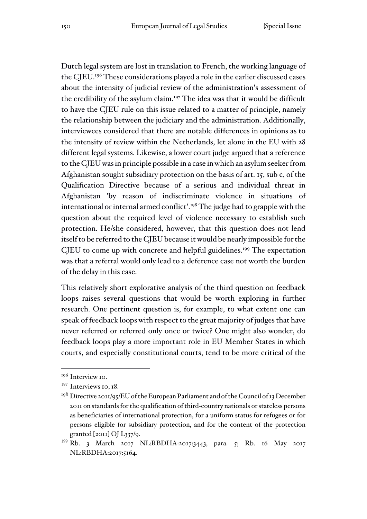Dutch legal system are lost in translation to French, the working language of the CJEU.<sup>196</sup> These considerations played a role in the earlier discussed cases about the intensity of judicial review of the administration's assessment of the credibility of the asylum claim.<sup>197</sup> The idea was that it would be difficult to have the CJEU rule on this issue related to a matter of principle, namely the relationship between the judiciary and the administration. Additionally, interviewees considered that there are notable differences in opinions as to the intensity of review within the Netherlands, let alone in the EU with 28 different legal systems. Likewise, a lower court judge argued that a reference to the CJEU was in principle possible in a case in which an asylum seeker from Afghanistan sought subsidiary protection on the basis of art. 15, sub c, of the Qualification Directive because of a serious and individual threat in Afghanistan 'by reason of indiscriminate violence in situations of international or internal armed conflict'.<sup>198</sup> The judge had to grapple with the question about the required level of violence necessary to establish such protection. He/she considered, however, that this question does not lend itself to be referred to the CJEU because it would be nearly impossible for the CJEU to come up with concrete and helpful guidelines.<sup>199</sup> The expectation was that a referral would only lead to a deference case not worth the burden of the delay in this case.

This relatively short explorative analysis of the third question on feedback loops raises several questions that would be worth exploring in further research. One pertinent question is, for example, to what extent one can speak of feedback loops with respect to the great majority of judges that have never referred or referred only once or twice? One might also wonder, do feedback loops play a more important role in EU Member States in which courts, and especially constitutional courts, tend to be more critical of the

<sup>&</sup>lt;sup>196</sup> Interview 10.

<sup>&</sup>lt;sup>197</sup> Interviews 10, 18.

<sup>198</sup> Directive 2011/95/EU of the European Parliament and of the Council of 13 December 2011 on standards for the qualification of third-country nationals or stateless persons as beneficiaries of international protection, for a uniform status for refugees or for persons eligible for subsidiary protection, and for the content of the protection granted [2011] OJ L337/9.

<sup>199</sup> Rb. 3 March 2017 NL:RBDHA:2017:3443, para. 5; Rb. 16 May 2017 NL:RBDHA:2017:5164.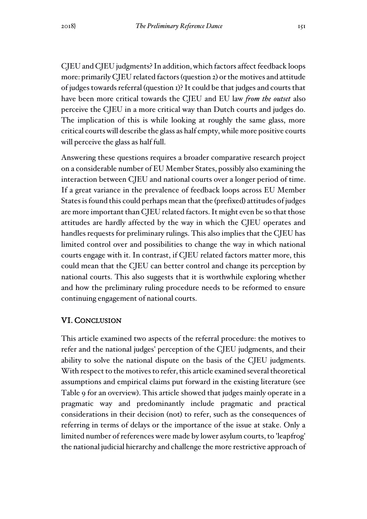CJEU and CJEU judgments? In addition, which factors affect feedback loops more: primarily CJEU related factors (question 2) or the motives and attitude of judges towards referral (question 1)? It could be that judges and courts that have been more critical towards the CJEU and EU law *from the outset* also perceive the CJEU in a more critical way than Dutch courts and judges do. The implication of this is while looking at roughly the same glass, more critical courts will describe the glass as half empty, while more positive courts will perceive the glass as half full.

Answering these questions requires a broader comparative research project on a considerable number of EU Member States, possibly also examining the interaction between CJEU and national courts over a longer period of time. If a great variance in the prevalence of feedback loops across EU Member States is found this could perhaps mean that the (prefixed) attitudes of judges are more important than CJEU related factors. It might even be so that those attitudes are hardly affected by the way in which the CJEU operates and handles requests for preliminary rulings. This also implies that the CJEU has limited control over and possibilities to change the way in which national courts engage with it. In contrast, if CJEU related factors matter more, this could mean that the CJEU can better control and change its perception by national courts. This also suggests that it is worthwhile exploring whether and how the preliminary ruling procedure needs to be reformed to ensure continuing engagement of national courts.

## VI. CONCLUSION

This article examined two aspects of the referral procedure: the motives to refer and the national judges' perception of the CJEU judgments, and their ability to solve the national dispute on the basis of the CJEU judgments. With respect to the motives to refer, this article examined several theoretical assumptions and empirical claims put forward in the existing literature (see Table 9 for an overview). This article showed that judges mainly operate in a pragmatic way and predominantly include pragmatic and practical considerations in their decision (not) to refer, such as the consequences of referring in terms of delays or the importance of the issue at stake. Only a limited number of references were made by lower asylum courts, to 'leapfrog' the national judicial hierarchy and challenge the more restrictive approach of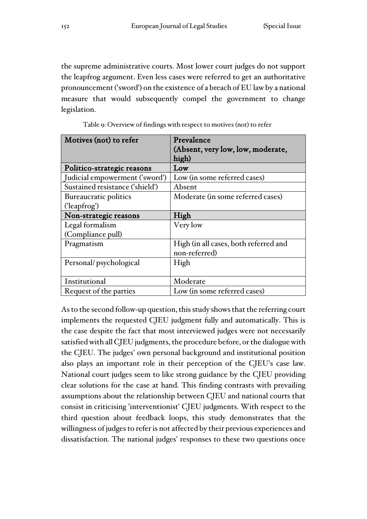the supreme administrative courts. Most lower court judges do not support the leapfrog argument. Even less cases were referred to get an authoritative pronouncement ('sword') on the existence of a breach of EU law by a national measure that would subsequently compel the government to change legislation.

| Motives (not) to refer          | Prevalence                            |  |  |  |
|---------------------------------|---------------------------------------|--|--|--|
|                                 | (Absent, very low, low, moderate,     |  |  |  |
|                                 | high)                                 |  |  |  |
| Politico-strategic reasons      | Low                                   |  |  |  |
| Judicial empowerment ('sword')  | Low (in some referred cases)          |  |  |  |
| Sustained resistance ('shield') | Absent                                |  |  |  |
| Bureaucratic politics           | Moderate (in some referred cases)     |  |  |  |
| ('leapfrog')                    |                                       |  |  |  |
| Non-strategic reasons           | High                                  |  |  |  |
| Legal formalism                 | Very low                              |  |  |  |
| (Compliance pull)               |                                       |  |  |  |
| Pragmatism                      | High (in all cases, both referred and |  |  |  |
|                                 | non-referred)                         |  |  |  |
| Personal/psychological          | High                                  |  |  |  |
|                                 |                                       |  |  |  |
| Institutional                   | Moderate                              |  |  |  |
| Request of the parties          | Low (in some referred cases)          |  |  |  |

Table 9: Overview of findings with respect to motives (not) to refer

As to the second follow-up question, this study shows that the referring court implements the requested CJEU judgment fully and automatically. This is the case despite the fact that most interviewed judges were not necessarily satisfied with all CJEU judgments, the procedure before, or the dialogue with the CJEU. The judges' own personal background and institutional position also plays an important role in their perception of the CJEU's case law. National court judges seem to like strong guidance by the CJEU providing clear solutions for the case at hand. This finding contrasts with prevailing assumptions about the relationship between CJEU and national courts that consist in criticising 'interventionist' CJEU judgments. With respect to the third question about feedback loops, this study demonstrates that the willingness of judges to refer is not affected by their previous experiences and dissatisfaction. The national judges' responses to these two questions once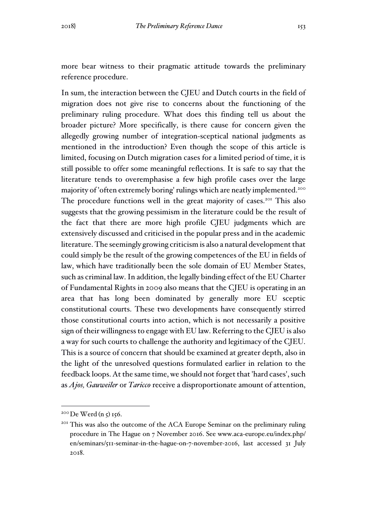more bear witness to their pragmatic attitude towards the preliminary reference procedure.

In sum, the interaction between the CJEU and Dutch courts in the field of migration does not give rise to concerns about the functioning of the preliminary ruling procedure. What does this finding tell us about the broader picture? More specifically, is there cause for concern given the allegedly growing number of integration-sceptical national judgments as mentioned in the introduction? Even though the scope of this article is limited, focusing on Dutch migration cases for a limited period of time, it is still possible to offer some meaningful reflections. It is safe to say that the literature tends to overemphasise a few high profile cases over the large majority of 'often extremely boring' rulings which are neatly implemented.<sup>200</sup> The procedure functions well in the great majority of cases.<sup>201</sup> This also suggests that the growing pessimism in the literature could be the result of the fact that there are more high profile CJEU judgments which are extensively discussed and criticised in the popular press and in the academic literature. The seemingly growing criticism is also a natural development that could simply be the result of the growing competences of the EU in fields of law, which have traditionally been the sole domain of EU Member States, such as criminal law. In addition, the legally binding effect of the EU Charter of Fundamental Rights in 2009 also means that the CJEU is operating in an area that has long been dominated by generally more EU sceptic constitutional courts. These two developments have consequently stirred those constitutional courts into action, which is not necessarily a positive sign of their willingness to engage with EU law. Referring to the CJEU is also a way for such courts to challenge the authority and legitimacy of the CJEU. This is a source of concern that should be examined at greater depth, also in the light of the unresolved questions formulated earlier in relation to the feedback loops. At the same time, we should not forget that 'hard cases', such as *Ajos, Gauweiler* or *Taricco* receive a disproportionate amount of attention,

<sup>200</sup>De Werd (n 5) 156.

<sup>&</sup>lt;sup>201</sup> This was also the outcome of the ACA Europe Seminar on the preliminary ruling procedure in The Hague on 7 November 2016. See www.aca-europe.eu/index.php/ en/seminars/511-seminar-in-the-hague-on-7-november-2016, last accessed 31 July 2018.